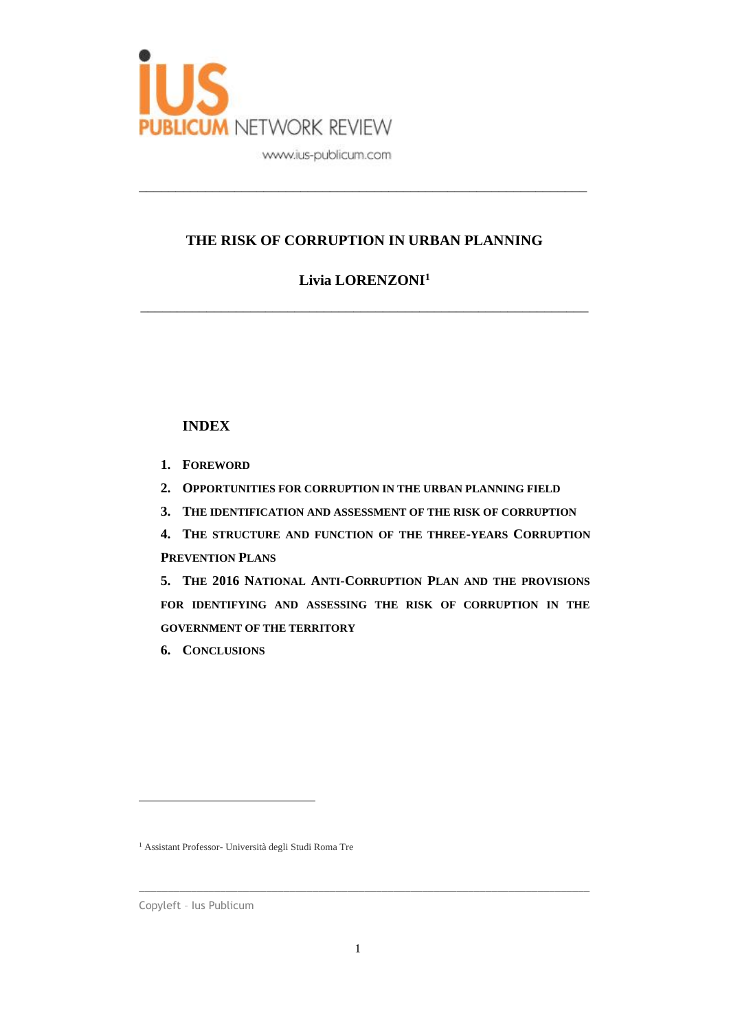

### **THE RISK OF CORRUPTION IN URBAN PLANNING**

\_\_\_\_\_\_\_\_\_\_\_\_\_\_\_\_\_\_\_\_\_\_\_\_\_\_\_\_\_\_\_\_\_\_\_\_\_\_\_\_\_\_\_\_\_\_\_\_\_\_\_\_\_\_\_\_\_\_\_\_\_

## **Livia LORENZONI<sup>1</sup>**

\_\_\_\_\_\_\_\_\_\_\_\_\_\_\_\_\_\_\_\_\_\_\_\_\_\_\_\_\_\_\_\_\_\_\_\_\_\_\_\_\_\_\_\_\_\_\_\_\_\_\_\_\_\_\_\_\_\_\_\_\_

### **INDEX**

- **1. FOREWORD**
- **2. OPPORTUNITIES FOR CORRUPTION IN THE URBAN PLANNING FIELD**
- **3. THE IDENTIFICATION AND ASSESSMENT OF THE RISK OF CORRUPTION**
- **4. THE STRUCTURE AND FUNCTION OF THE THREE-YEARS CORRUPTION PREVENTION PLANS**
- **5. THE 2016 NATIONAL ANTI-CORRUPTION PLAN AND THE PROVISIONS FOR IDENTIFYING AND ASSESSING THE RISK OF CORRUPTION IN THE GOVERNMENT OF THE TERRITORY**
- **6. CONCLUSIONS**

<sup>1</sup> Assistant Professor- Università degli Studi Roma Tre

Copyleft – Ius Publicum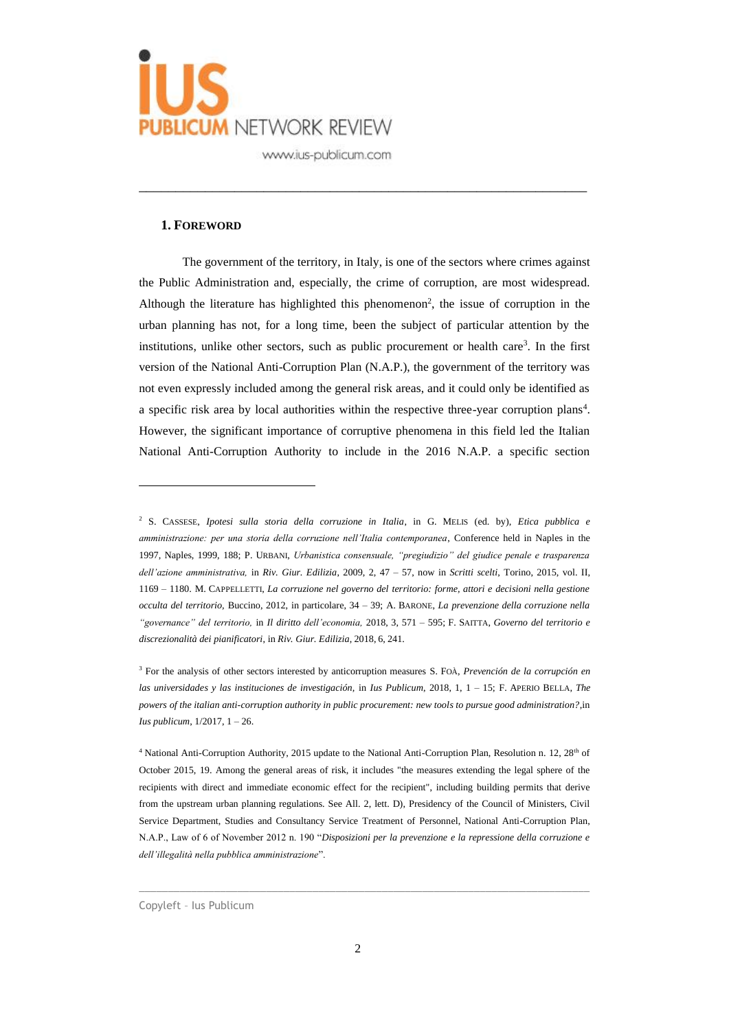

#### **1. FOREWORD**

The government of the territory, in Italy, is one of the sectors where crimes against the Public Administration and, especially, the crime of corruption, are most widespread. Although the literature has highlighted this phenomenon<sup>2</sup>, the issue of corruption in the urban planning has not, for a long time, been the subject of particular attention by the institutions, unlike other sectors, such as public procurement or health care<sup>3</sup>. In the first version of the National Anti-Corruption Plan (N.A.P.), the government of the territory was not even expressly included among the general risk areas, and it could only be identified as a specific risk area by local authorities within the respective three-year corruption plans<sup>4</sup>. However, the significant importance of corruptive phenomena in this field led the Italian National Anti-Corruption Authority to include in the 2016 N.A.P. a specific section

\_\_\_\_\_\_\_\_\_\_\_\_\_\_\_\_\_\_\_\_\_\_\_\_\_\_\_\_\_\_\_\_\_\_\_\_\_\_\_\_\_\_\_\_\_\_\_\_\_\_\_\_\_\_\_\_\_\_\_\_\_

<sup>2</sup> S. CASSESE, *Ipotesi sulla storia della corruzione in Italia*, in G. MELIS (ed. by), *Etica pubblica e amministrazione: per una storia della corruzione nell'Italia contemporanea*, Conference held in Naples in the 1997, Naples, 1999, 188; P. URBANI, *Urbanistica consensuale, "pregiudizio" del giudice penale e trasparenza dell'azione amministrativa,* in *Riv. Giur. Edilizia*, 2009, 2, 47 – 57, now in *Scritti scelti*, Torino, 2015, vol. II, 1169 – 1180. M. CAPPELLETTI, *La corruzione nel governo del territorio: forme, attori e decisioni nella gestione occulta del territorio,* Buccino, 2012, in particolare, 34 – 39; A. BARONE, *La prevenzione della corruzione nella "governance" del territorio,* in *Il diritto dell'economia,* 2018, 3, 571 – 595; F. SAITTA, *Governo del territorio e discrezionalità dei pianificatori*, in *Riv. Giur. Edilizia*, 2018, 6, 241.

<sup>3</sup> For the analysis of other sectors interested by anticorruption measures S. FOÀ, *Prevención de la corrupción en las universidades y las instituciones de investigación,* in *Ius Publicum*, 2018, 1, 1 – 15; F. APERIO BELLA*, The powers of the italian anti-corruption authority in public procurement: new tools to pursue good administration?*,in *Ius publicum*, 1/2017, 1 – 26.

<sup>&</sup>lt;sup>4</sup> National Anti-Corruption Authority, 2015 update to the National Anti-Corruption Plan, Resolution n. 12, 28<sup>th</sup> of October 2015, 19. Among the general areas of risk, it includes "the measures extending the legal sphere of the recipients with direct and immediate economic effect for the recipient", including building permits that derive from the upstream urban planning regulations. See All. 2, lett. D), Presidency of the Council of Ministers, Civil Service Department, Studies and Consultancy Service Treatment of Personnel, National Anti-Corruption Plan, N.A.P., Law of 6 of November 2012 n. 190 "*Disposizioni per la prevenzione e la repressione della corruzione e dell'illegalità nella pubblica amministrazione*".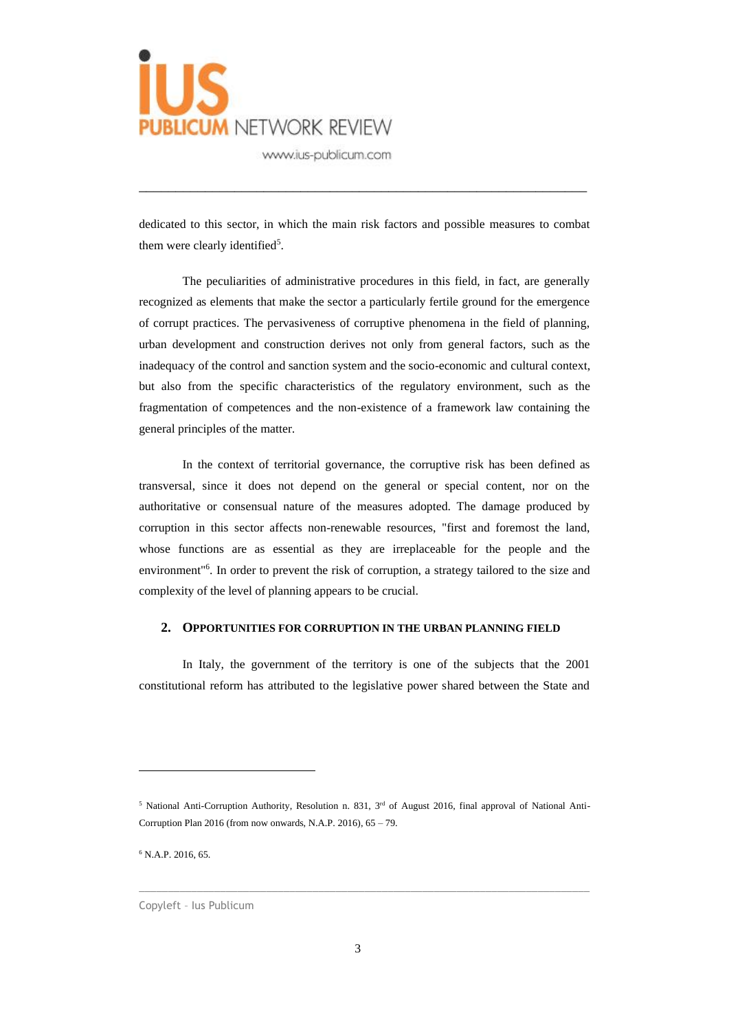

dedicated to this sector, in which the main risk factors and possible measures to combat them were clearly identified<sup>5</sup>.

\_\_\_\_\_\_\_\_\_\_\_\_\_\_\_\_\_\_\_\_\_\_\_\_\_\_\_\_\_\_\_\_\_\_\_\_\_\_\_\_\_\_\_\_\_\_\_\_\_\_\_\_\_\_\_\_\_\_\_\_\_

The peculiarities of administrative procedures in this field, in fact, are generally recognized as elements that make the sector a particularly fertile ground for the emergence of corrupt practices. The pervasiveness of corruptive phenomena in the field of planning, urban development and construction derives not only from general factors, such as the inadequacy of the control and sanction system and the socio-economic and cultural context, but also from the specific characteristics of the regulatory environment, such as the fragmentation of competences and the non-existence of a framework law containing the general principles of the matter.

In the context of territorial governance, the corruptive risk has been defined as transversal, since it does not depend on the general or special content, nor on the authoritative or consensual nature of the measures adopted. The damage produced by corruption in this sector affects non-renewable resources, "first and foremost the land, whose functions are as essential as they are irreplaceable for the people and the environment"<sup>6</sup>. In order to prevent the risk of corruption, a strategy tailored to the size and complexity of the level of planning appears to be crucial.

#### **2. OPPORTUNITIES FOR CORRUPTION IN THE URBAN PLANNING FIELD**

In Italy, the government of the territory is one of the subjects that the 2001 constitutional reform has attributed to the legislative power shared between the State and

 $\_$  , and the set of the set of the set of the set of the set of the set of the set of the set of the set of the set of the set of the set of the set of the set of the set of the set of the set of the set of the set of th

 $6$  N.A.P. 2016, 65.

<sup>&</sup>lt;sup>5</sup> National Anti-Corruption Authority, Resolution n. 831, 3<sup>rd</sup> of August 2016, final approval of National Anti-Corruption Plan 2016 (from now onwards, N.A.P. 2016), 65 – 79.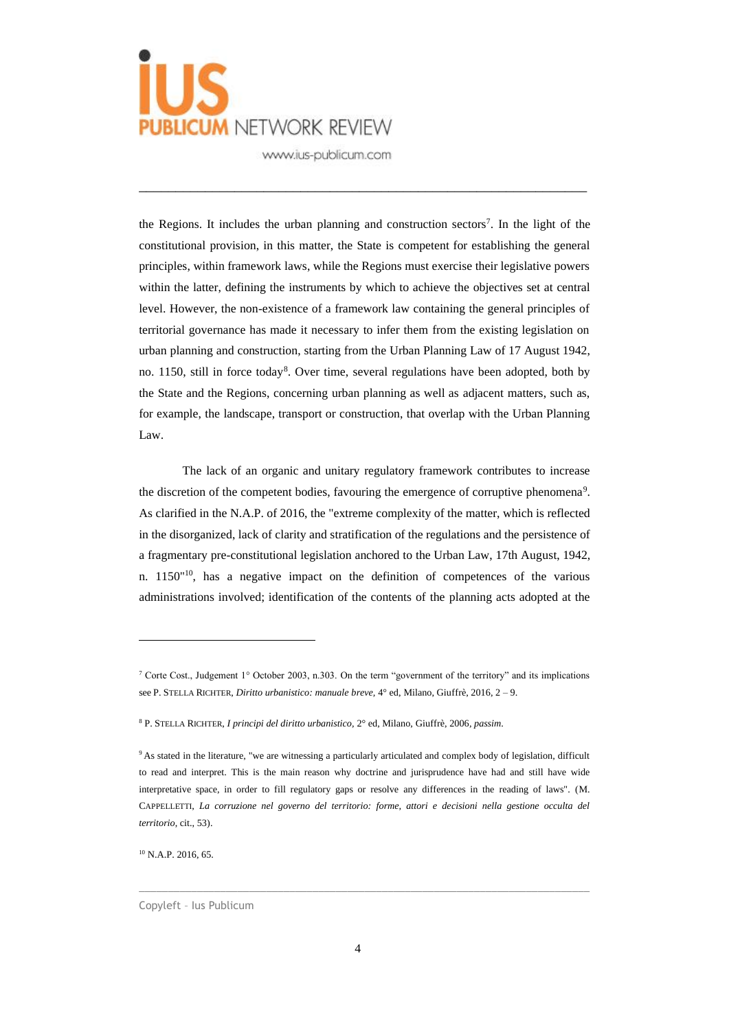

the Regions. It includes the urban planning and construction sectors<sup>7</sup>. In the light of the constitutional provision, in this matter, the State is competent for establishing the general principles, within framework laws, while the Regions must exercise their legislative powers within the latter, defining the instruments by which to achieve the objectives set at central level. However, the non-existence of a framework law containing the general principles of territorial governance has made it necessary to infer them from the existing legislation on urban planning and construction, starting from the Urban Planning Law of 17 August 1942, no. 1150, still in force today<sup>8</sup>. Over time, several regulations have been adopted, both by the State and the Regions, concerning urban planning as well as adjacent matters, such as, for example, the landscape, transport or construction, that overlap with the Urban Planning Law.

\_\_\_\_\_\_\_\_\_\_\_\_\_\_\_\_\_\_\_\_\_\_\_\_\_\_\_\_\_\_\_\_\_\_\_\_\_\_\_\_\_\_\_\_\_\_\_\_\_\_\_\_\_\_\_\_\_\_\_\_\_

The lack of an organic and unitary regulatory framework contributes to increase the discretion of the competent bodies, favouring the emergence of corruptive phenomena<sup>9</sup>. As clarified in the N.A.P. of 2016, the "extreme complexity of the matter, which is reflected in the disorganized, lack of clarity and stratification of the regulations and the persistence of a fragmentary pre-constitutional legislation anchored to the Urban Law, 17th August, 1942, n.  $1150^{\text{110}}$ , has a negative impact on the definition of competences of the various administrations involved; identification of the contents of the planning acts adopted at the

<sup>10</sup> N.A.P. 2016, 65.

Copyleft – Ius Publicum

<sup>7</sup> Corte Cost., Judgement 1° October 2003, n.303. On the term "government of the territory" and its implications see P. STELLA RICHTER, *Diritto urbanistico: manuale breve,* 4° ed, Milano, Giuffrè, 2016, 2 – 9.

<sup>8</sup> P. STELLA RICHTER, *I principi del diritto urbanistico,* 2° ed, Milano, Giuffrè, 2006*, passim*.

<sup>&</sup>lt;sup>9</sup> As stated in the literature, "we are witnessing a particularly articulated and complex body of legislation, difficult to read and interpret. This is the main reason why doctrine and jurisprudence have had and still have wide interpretative space, in order to fill regulatory gaps or resolve any differences in the reading of laws". (M. CAPPELLETTI, *La corruzione nel governo del territorio: forme, attori e decisioni nella gestione occulta del territorio*, cit., 53).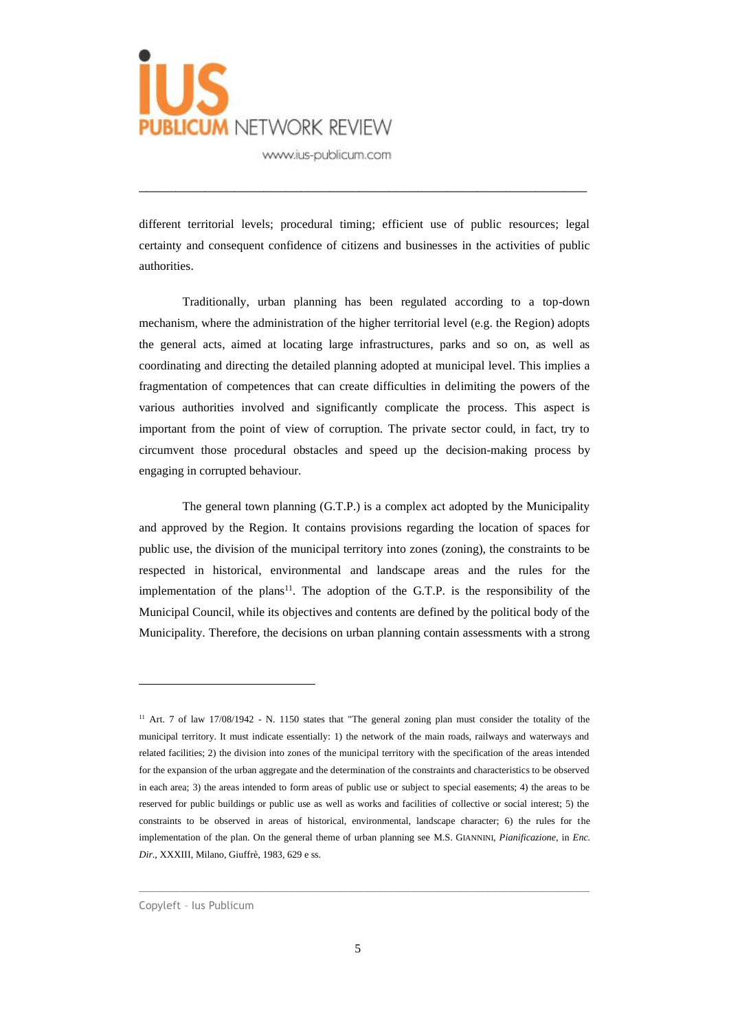

different territorial levels; procedural timing; efficient use of public resources; legal certainty and consequent confidence of citizens and businesses in the activities of public authorities.

\_\_\_\_\_\_\_\_\_\_\_\_\_\_\_\_\_\_\_\_\_\_\_\_\_\_\_\_\_\_\_\_\_\_\_\_\_\_\_\_\_\_\_\_\_\_\_\_\_\_\_\_\_\_\_\_\_\_\_\_\_

Traditionally, urban planning has been regulated according to a top-down mechanism, where the administration of the higher territorial level (e.g. the Region) adopts the general acts, aimed at locating large infrastructures, parks and so on, as well as coordinating and directing the detailed planning adopted at municipal level. This implies a fragmentation of competences that can create difficulties in delimiting the powers of the various authorities involved and significantly complicate the process. This aspect is important from the point of view of corruption. The private sector could, in fact, try to circumvent those procedural obstacles and speed up the decision-making process by engaging in corrupted behaviour.

The general town planning (G.T.P.) is a complex act adopted by the Municipality and approved by the Region. It contains provisions regarding the location of spaces for public use, the division of the municipal territory into zones (zoning), the constraints to be respected in historical, environmental and landscape areas and the rules for the implementation of the plans<sup>11</sup>. The adoption of the G.T.P. is the responsibility of the Municipal Council, while its objectives and contents are defined by the political body of the Municipality. Therefore, the decisions on urban planning contain assessments with a strong

<sup>&</sup>lt;sup>11</sup> Art. 7 of law 17/08/1942 - N. 1150 states that "The general zoning plan must consider the totality of the municipal territory. It must indicate essentially: 1) the network of the main roads, railways and waterways and related facilities; 2) the division into zones of the municipal territory with the specification of the areas intended for the expansion of the urban aggregate and the determination of the constraints and characteristics to be observed in each area; 3) the areas intended to form areas of public use or subject to special easements; 4) the areas to be reserved for public buildings or public use as well as works and facilities of collective or social interest; 5) the constraints to be observed in areas of historical, environmental, landscape character; 6) the rules for the implementation of the plan. On the general theme of urban planning see M.S. GIANNINI, *Pianificazione*, in *Enc. Dir*., XXXIII, Milano, Giuffrè, 1983, 629 e ss.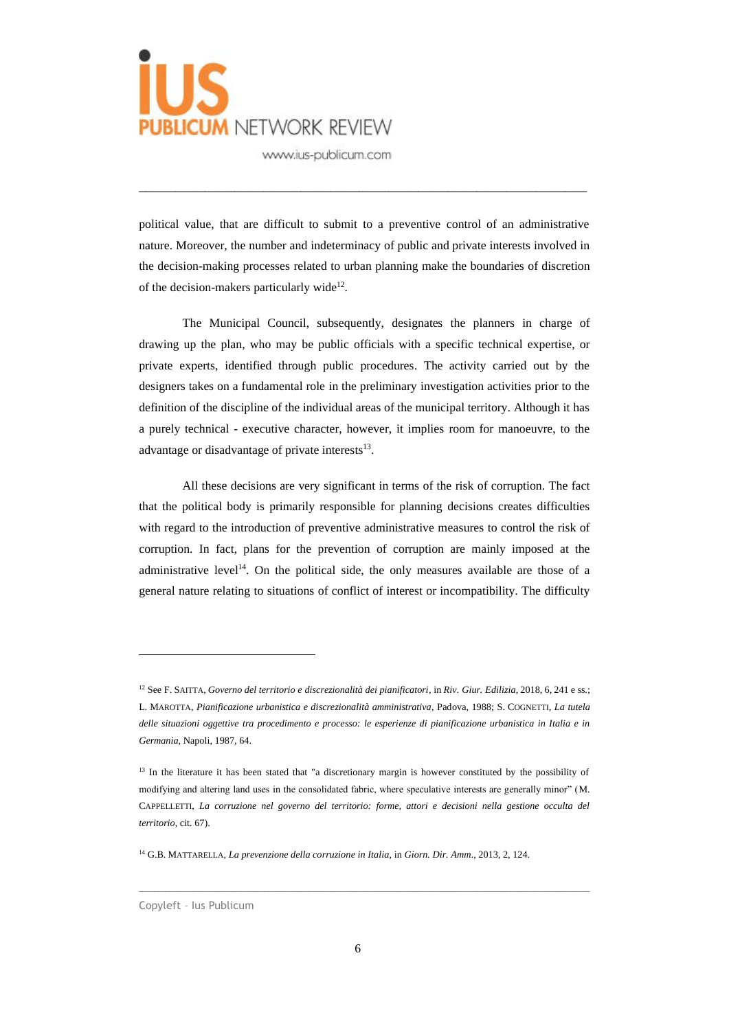

political value, that are difficult to submit to a preventive control of an administrative nature. Moreover, the number and indeterminacy of public and private interests involved in the decision-making processes related to urban planning make the boundaries of discretion of the decision-makers particularly wide<sup>12</sup>.

\_\_\_\_\_\_\_\_\_\_\_\_\_\_\_\_\_\_\_\_\_\_\_\_\_\_\_\_\_\_\_\_\_\_\_\_\_\_\_\_\_\_\_\_\_\_\_\_\_\_\_\_\_\_\_\_\_\_\_\_\_

The Municipal Council, subsequently, designates the planners in charge of drawing up the plan, who may be public officials with a specific technical expertise, or private experts, identified through public procedures. The activity carried out by the designers takes on a fundamental role in the preliminary investigation activities prior to the definition of the discipline of the individual areas of the municipal territory. Although it has a purely technical - executive character, however, it implies room for manoeuvre, to the advantage or disadvantage of private interests<sup>13</sup>.

All these decisions are very significant in terms of the risk of corruption. The fact that the political body is primarily responsible for planning decisions creates difficulties with regard to the introduction of preventive administrative measures to control the risk of corruption. In fact, plans for the prevention of corruption are mainly imposed at the administrative level<sup>14</sup>. On the political side, the only measures available are those of a general nature relating to situations of conflict of interest or incompatibility. The difficulty

 $\_$  , and the set of the set of the set of the set of the set of the set of the set of the set of the set of the set of the set of the set of the set of the set of the set of the set of the set of the set of the set of th

<sup>12</sup> See F. SAITTA, *Governo del territorio e discrezionalità dei pianificatori*, in *Riv. Giur. Edilizia*, 2018, 6, 241 e ss.; L. MAROTTA, *Pianificazione urbanistica e discrezionalità amministrativa*, Padova, 1988; S. COGNETTI, *La tutela*  delle situazioni oggettive tra procedimento e processo: le esperienze di pianificazione urbanistica in Italia e in *Germania*, Napoli, 1987, 64.

<sup>&</sup>lt;sup>13</sup> In the literature it has been stated that "a discretionary margin is however constituted by the possibility of modifying and altering land uses in the consolidated fabric, where speculative interests are generally minor" (M. CAPPELLETTI, *La corruzione nel governo del territorio: forme, attori e decisioni nella gestione occulta del territorio*, cit. 67).

<sup>14</sup> G.B. MATTARELLA, *La prevenzione della corruzione in Italia*, in *Giorn. Dir. Amm*., 2013, 2, 124.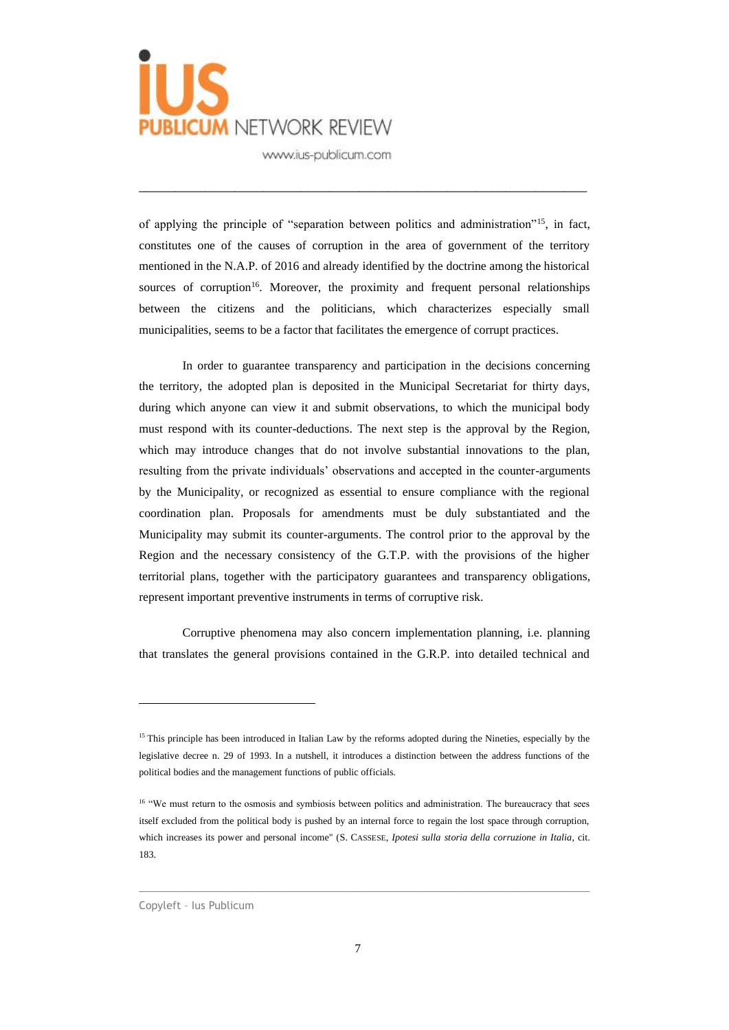

of applying the principle of "separation between politics and administration"<sup>15</sup>, in fact, constitutes one of the causes of corruption in the area of government of the territory mentioned in the N.A.P. of 2016 and already identified by the doctrine among the historical sources of corruption<sup>16</sup>. Moreover, the proximity and frequent personal relationships between the citizens and the politicians, which characterizes especially small municipalities, seems to be a factor that facilitates the emergence of corrupt practices.

\_\_\_\_\_\_\_\_\_\_\_\_\_\_\_\_\_\_\_\_\_\_\_\_\_\_\_\_\_\_\_\_\_\_\_\_\_\_\_\_\_\_\_\_\_\_\_\_\_\_\_\_\_\_\_\_\_\_\_\_\_

In order to guarantee transparency and participation in the decisions concerning the territory, the adopted plan is deposited in the Municipal Secretariat for thirty days, during which anyone can view it and submit observations, to which the municipal body must respond with its counter-deductions. The next step is the approval by the Region, which may introduce changes that do not involve substantial innovations to the plan, resulting from the private individuals' observations and accepted in the counter-arguments by the Municipality, or recognized as essential to ensure compliance with the regional coordination plan. Proposals for amendments must be duly substantiated and the Municipality may submit its counter-arguments. The control prior to the approval by the Region and the necessary consistency of the G.T.P. with the provisions of the higher territorial plans, together with the participatory guarantees and transparency obligations, represent important preventive instruments in terms of corruptive risk.

Corruptive phenomena may also concern implementation planning, i.e. planning that translates the general provisions contained in the G.R.P. into detailed technical and

<sup>&</sup>lt;sup>15</sup> This principle has been introduced in Italian Law by the reforms adopted during the Nineties, especially by the legislative decree n. 29 of 1993. In a nutshell, it introduces a distinction between the address functions of the political bodies and the management functions of public officials.

<sup>&</sup>lt;sup>16</sup> "We must return to the osmosis and symbiosis between politics and administration. The bureaucracy that sees itself excluded from the political body is pushed by an internal force to regain the lost space through corruption, which increases its power and personal income" (S. CASSESE, *Ipotesi sulla storia della corruzione in Italia*, cit. 183.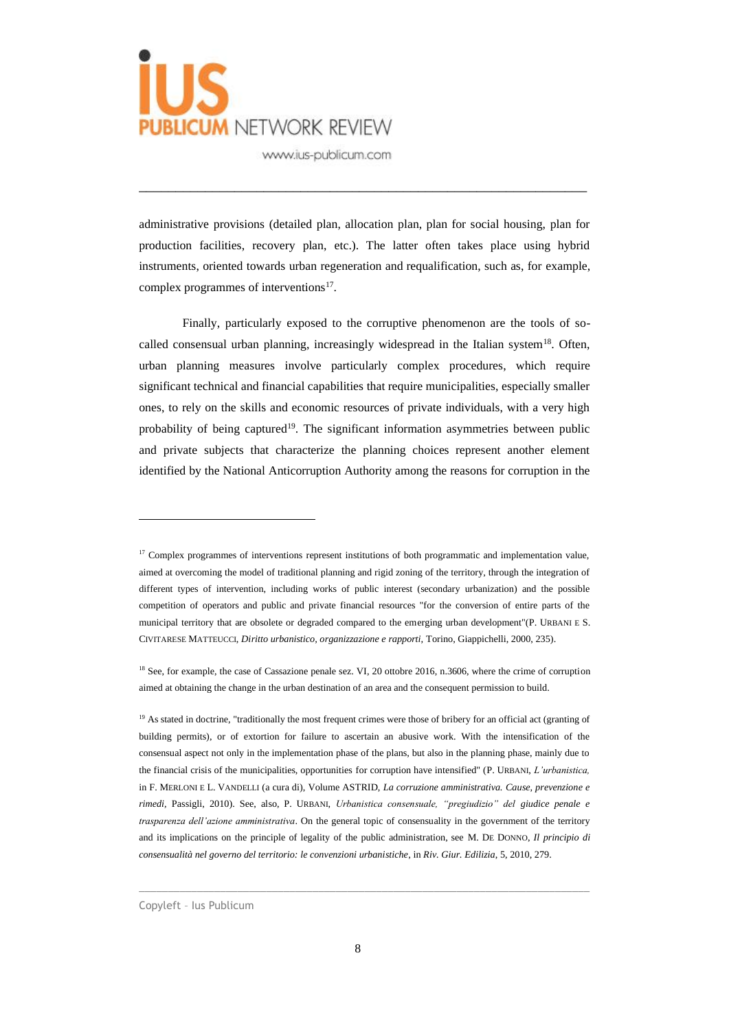

administrative provisions (detailed plan, allocation plan, plan for social housing, plan for production facilities, recovery plan, etc.). The latter often takes place using hybrid instruments, oriented towards urban regeneration and requalification, such as, for example, complex programmes of interventions $17$ .

\_\_\_\_\_\_\_\_\_\_\_\_\_\_\_\_\_\_\_\_\_\_\_\_\_\_\_\_\_\_\_\_\_\_\_\_\_\_\_\_\_\_\_\_\_\_\_\_\_\_\_\_\_\_\_\_\_\_\_\_\_

Finally, particularly exposed to the corruptive phenomenon are the tools of socalled consensual urban planning, increasingly widespread in the Italian system<sup>18</sup>. Often, urban planning measures involve particularly complex procedures, which require significant technical and financial capabilities that require municipalities, especially smaller ones, to rely on the skills and economic resources of private individuals, with a very high probability of being captured<sup>19</sup>. The significant information asymmetries between public and private subjects that characterize the planning choices represent another element identified by the National Anticorruption Authority among the reasons for corruption in the

<sup>&</sup>lt;sup>17</sup> Complex programmes of interventions represent institutions of both programmatic and implementation value, aimed at overcoming the model of traditional planning and rigid zoning of the territory, through the integration of different types of intervention, including works of public interest (secondary urbanization) and the possible competition of operators and public and private financial resources "for the conversion of entire parts of the municipal territory that are obsolete or degraded compared to the emerging urban development"(P. URBANI E S. CIVITARESE MATTEUCCI, *Diritto urbanistico, organizzazione e rapporti,* Torino, Giappichelli, 2000, 235).

<sup>&</sup>lt;sup>18</sup> See, for example, the case of Cassazione penale sez. VI, 20 ottobre 2016, n.3606, where the crime of corruption aimed at obtaining the change in the urban destination of an area and the consequent permission to build.

<sup>&</sup>lt;sup>19</sup> As stated in doctrine, "traditionally the most frequent crimes were those of bribery for an official act (granting of building permits), or of extortion for failure to ascertain an abusive work. With the intensification of the consensual aspect not only in the implementation phase of the plans, but also in the planning phase, mainly due to the financial crisis of the municipalities, opportunities for corruption have intensified" (P. URBANI, *L'urbanistica,* in F. MERLONI E L. VANDELLI (a cura di), Volume ASTRID, *La corruzione amministrativa. Cause, prevenzione e rimedi,* Passigli, 2010). See, also, P. URBANI, *Urbanistica consensuale, "pregiudizio" del giudice penale e trasparenza dell'azione amministrativa*. On the general topic of consensuality in the government of the territory and its implications on the principle of legality of the public administration, see M. DE DONNO, *Il principio di consensualità nel governo del territorio: le convenzioni urbanistiche*, in *Riv. Giur. Edilizia*, 5, 2010, 279.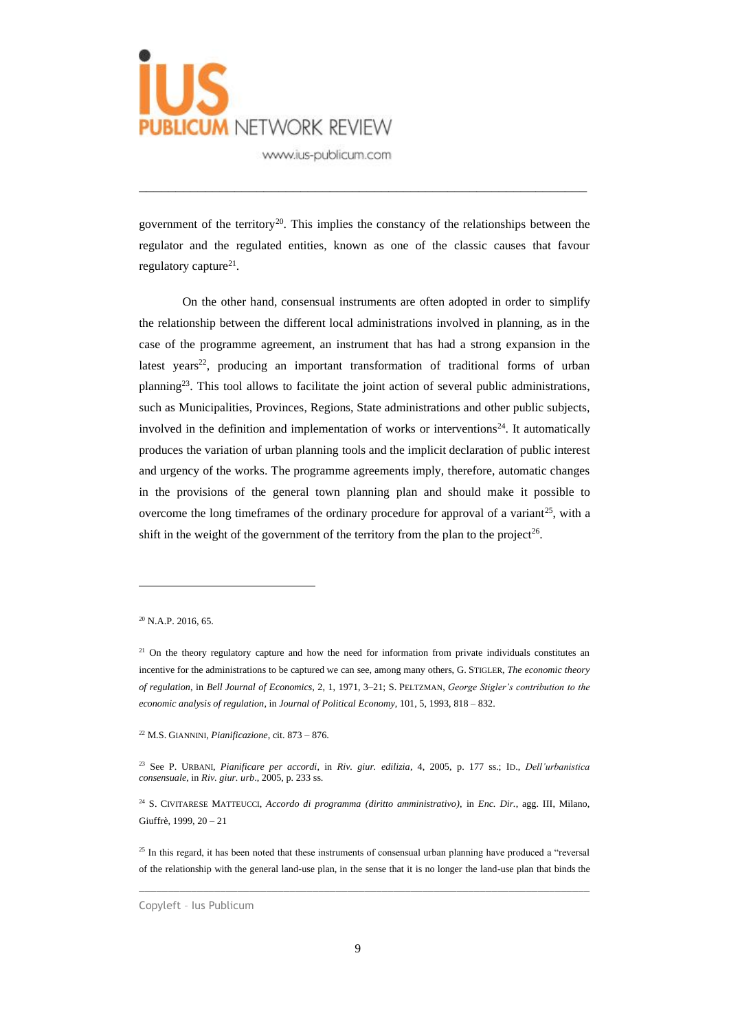

government of the territory<sup>20</sup>. This implies the constancy of the relationships between the regulator and the regulated entities, known as one of the classic causes that favour regulatory capture<sup>21</sup>.

\_\_\_\_\_\_\_\_\_\_\_\_\_\_\_\_\_\_\_\_\_\_\_\_\_\_\_\_\_\_\_\_\_\_\_\_\_\_\_\_\_\_\_\_\_\_\_\_\_\_\_\_\_\_\_\_\_\_\_\_\_

On the other hand, consensual instruments are often adopted in order to simplify the relationship between the different local administrations involved in planning, as in the case of the programme agreement, an instrument that has had a strong expansion in the latest years<sup>22</sup>, producing an important transformation of traditional forms of urban planning<sup>23</sup>. This tool allows to facilitate the joint action of several public administrations, such as Municipalities, Provinces, Regions, State administrations and other public subjects, involved in the definition and implementation of works or interventions<sup>24</sup>. It automatically produces the variation of urban planning tools and the implicit declaration of public interest and urgency of the works. The programme agreements imply, therefore, automatic changes in the provisions of the general town planning plan and should make it possible to overcome the long timeframes of the ordinary procedure for approval of a variant<sup>25</sup>, with a shift in the weight of the government of the territory from the plan to the project<sup>26</sup>.

<sup>22</sup> M.S. GIANNINI, *Pianificazione*, cit. 873 – 876.

 $20$  N.A.P. 2016, 65.

 $21$  On the theory regulatory capture and how the need for information from private individuals constitutes an incentive for the administrations to be captured we can see, among many others, G. STIGLER, *The economic theory of regulation*, in *Bell Journal of Economics,* 2, 1, 1971, 3–21; S. PELTZMAN, *George Stigler's contribution to the economic analysis of regulation*, in *Journal of Political Economy*, 101, 5, 1993, 818 – 832.

<sup>23</sup> See P. URBANI, *Pianificare per accordi*, in *Riv. giur. edilizia*, 4, 2005, p. 177 ss.; ID., *Dell'urbanistica consensuale*, in *Riv. giur. urb*., 2005, p. 233 ss.

<sup>24</sup> S. CIVITARESE MATTEUCCI, *Accordo di programma (diritto amministrativo),* in *Enc. Dir.*, agg. III, Milano, Giuffrè, 1999, 20 – 21

 $^{25}$  In this regard, it has been noted that these instruments of consensual urban planning have produced a "reversal" of the relationship with the general land-use plan, in the sense that it is no longer the land-use plan that binds the

Copyleft – Ius Publicum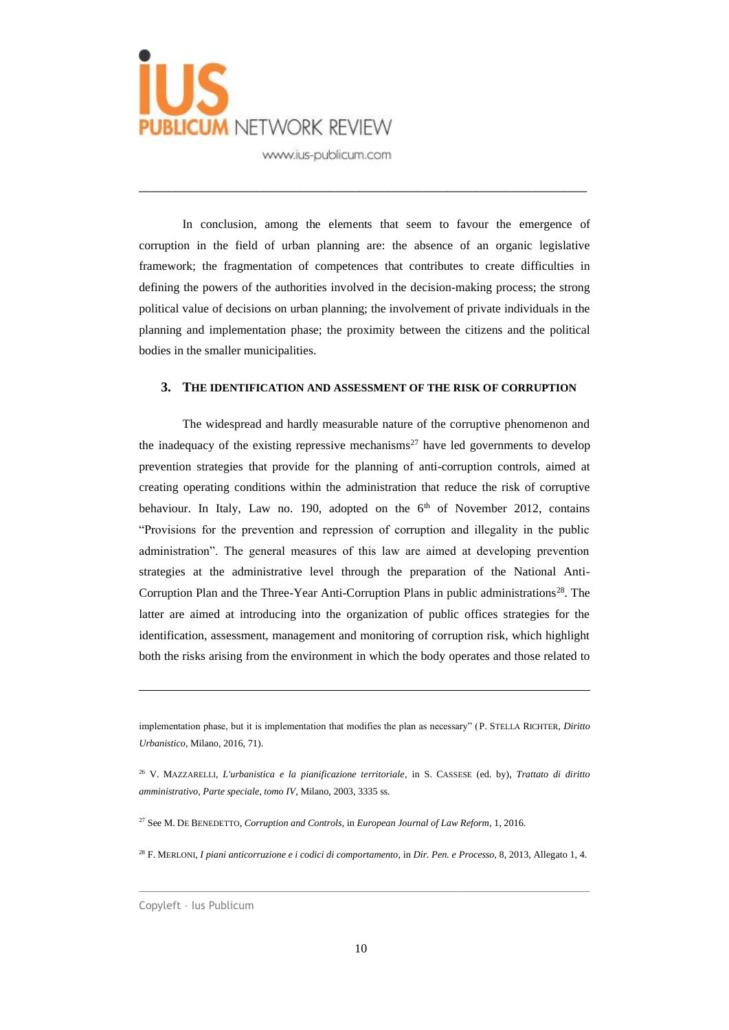

In conclusion, among the elements that seem to favour the emergence of corruption in the field of urban planning are: the absence of an organic legislative framework; the fragmentation of competences that contributes to create difficulties in defining the powers of the authorities involved in the decision-making process; the strong political value of decisions on urban planning; the involvement of private individuals in the planning and implementation phase; the proximity between the citizens and the political bodies in the smaller municipalities.

\_\_\_\_\_\_\_\_\_\_\_\_\_\_\_\_\_\_\_\_\_\_\_\_\_\_\_\_\_\_\_\_\_\_\_\_\_\_\_\_\_\_\_\_\_\_\_\_\_\_\_\_\_\_\_\_\_\_\_\_\_

#### **3. THE IDENTIFICATION AND ASSESSMENT OF THE RISK OF CORRUPTION**

The widespread and hardly measurable nature of the corruptive phenomenon and the inadequacy of the existing repressive mechanisms<sup>27</sup> have led governments to develop prevention strategies that provide for the planning of anti-corruption controls, aimed at creating operating conditions within the administration that reduce the risk of corruptive behaviour. In Italy, Law no. 190, adopted on the  $6<sup>th</sup>$  of November 2012, contains "Provisions for the prevention and repression of corruption and illegality in the public administration". The general measures of this law are aimed at developing prevention strategies at the administrative level through the preparation of the National Anti-Corruption Plan and the Three-Year Anti-Corruption Plans in public administrations<sup>28</sup>. The latter are aimed at introducing into the organization of public offices strategies for the identification, assessment, management and monitoring of corruption risk, which highlight both the risks arising from the environment in which the body operates and those related to

 $\_$  , and the set of the set of the set of the set of the set of the set of the set of the set of the set of the set of the set of the set of the set of the set of the set of the set of the set of the set of the set of th

implementation phase, but it is implementation that modifies the plan as necessary" (P. STELLA RICHTER, *Diritto Urbanistico*, Milano, 2016, 71).

<sup>26</sup> V. MAZZARELLI, *L'urbanistica e la pianificazione territoriale*, in S. CASSESE (ed. by), *Trattato di diritto amministrativo*, *Parte speciale, tomo IV*, Milano, 2003, 3335 ss.

<sup>27</sup> See M. DE BENEDETTO, *Corruption and Controls*, in *European Journal of Law Reform*, 1, 2016.

<sup>28</sup> F. MERLONI, *I piani anticorruzione e i codici di comportamento*, in *Dir. Pen. e Processo,* 8, 2013, Allegato 1, 4.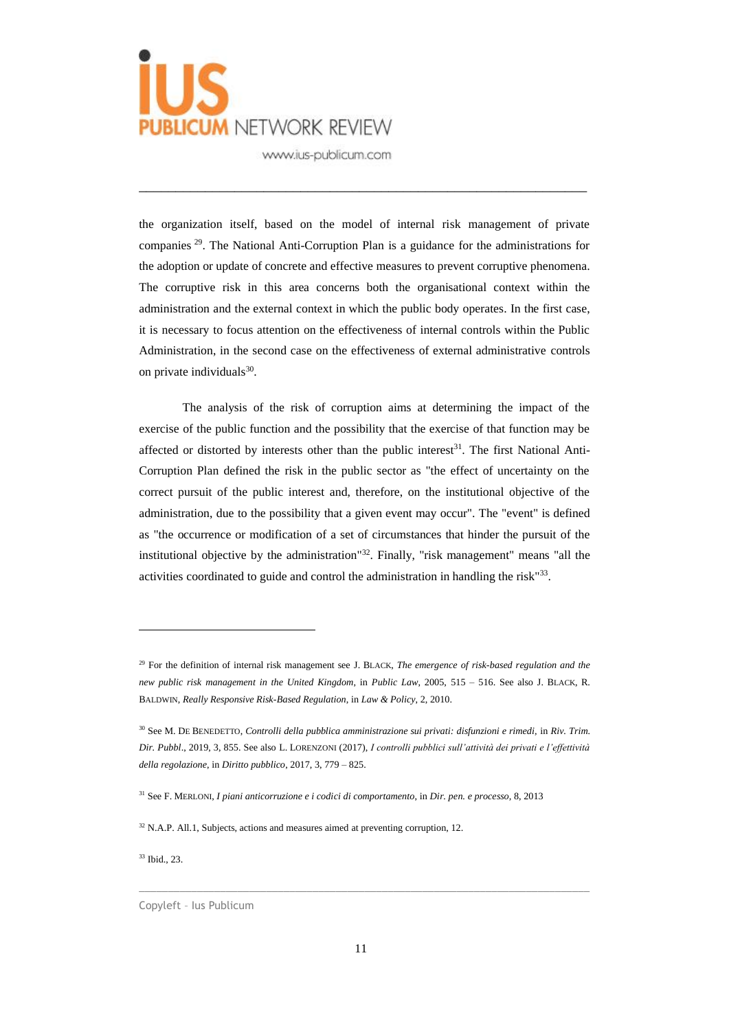

the organization itself, based on the model of internal risk management of private companies <sup>29</sup>. The National Anti-Corruption Plan is a guidance for the administrations for the adoption or update of concrete and effective measures to prevent corruptive phenomena. The corruptive risk in this area concerns both the organisational context within the administration and the external context in which the public body operates. In the first case, it is necessary to focus attention on the effectiveness of internal controls within the Public Administration, in the second case on the effectiveness of external administrative controls on private individuals<sup>30</sup>.

\_\_\_\_\_\_\_\_\_\_\_\_\_\_\_\_\_\_\_\_\_\_\_\_\_\_\_\_\_\_\_\_\_\_\_\_\_\_\_\_\_\_\_\_\_\_\_\_\_\_\_\_\_\_\_\_\_\_\_\_\_

The analysis of the risk of corruption aims at determining the impact of the exercise of the public function and the possibility that the exercise of that function may be affected or distorted by interests other than the public interest<sup>31</sup>. The first National Anti-Corruption Plan defined the risk in the public sector as "the effect of uncertainty on the correct pursuit of the public interest and, therefore, on the institutional objective of the administration, due to the possibility that a given event may occur". The "event" is defined as "the occurrence or modification of a set of circumstances that hinder the pursuit of the institutional objective by the administration"<sup>32</sup>. Finally, "risk management" means "all the activities coordinated to guide and control the administration in handling the risk<sup>"33</sup>.

<sup>33</sup> Ibid., 23.

<sup>29</sup> For the definition of internal risk management see J. BLACK, *The emergence of risk-based regulation and the new public risk management in the United Kingdom*, in *Public Law*, 2005, 515 – 516. See also J. BLACK, R. BALDWIN, *Really Responsive Risk-Based Regulation*, in *Law & Policy*, 2, 2010.

<sup>30</sup> See M. DE BENEDETTO, *Controlli della pubblica amministrazione sui privati: disfunzioni e rimedi,* in *Riv. Trim. Dir. Pubbl*., 2019, 3, 855. See also L. LORENZONI (2017), *I controlli pubblici sull'attività dei privati e l'effettività della regolazione*, in *Diritto pubblico*, 2017, 3, 779 – 825.

<sup>31</sup> See F. MERLONI, *I piani anticorruzione e i codici di comportamento*, in *Dir. pen. e processo,* 8, 2013

 $32$  N.A.P. All.1, Subjects, actions and measures aimed at preventing corruption, 12.

Copyleft – Ius Publicum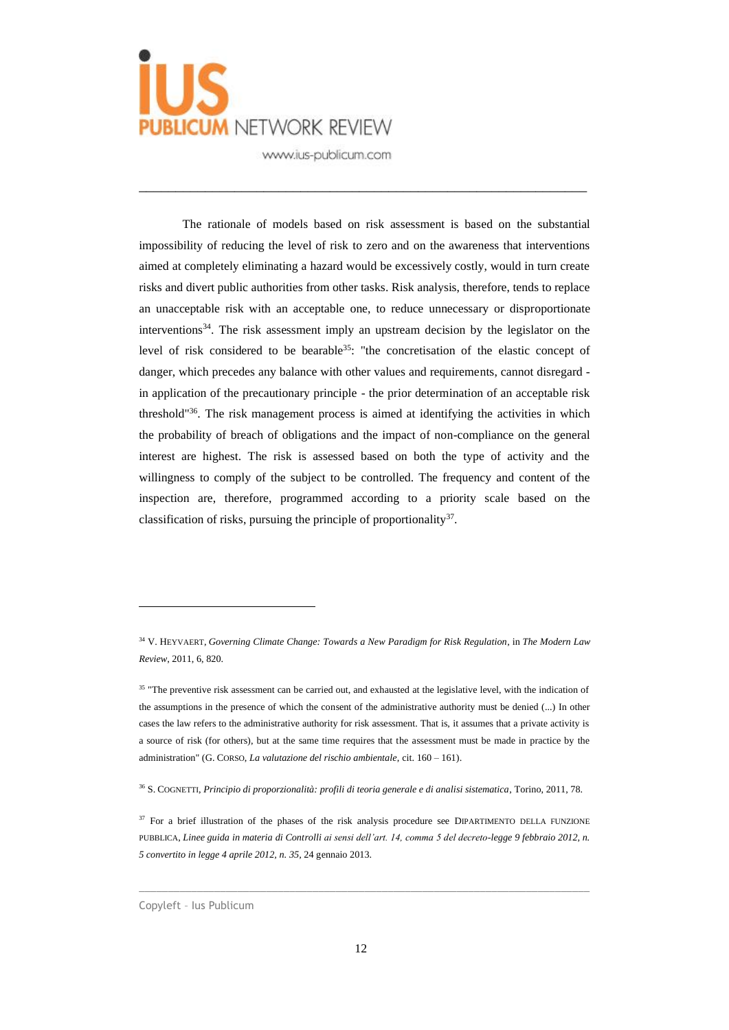

The rationale of models based on risk assessment is based on the substantial impossibility of reducing the level of risk to zero and on the awareness that interventions aimed at completely eliminating a hazard would be excessively costly, would in turn create risks and divert public authorities from other tasks. Risk analysis, therefore, tends to replace an unacceptable risk with an acceptable one, to reduce unnecessary or disproportionate interventions<sup>34</sup>. The risk assessment imply an upstream decision by the legislator on the level of risk considered to be bearable<sup>35</sup>: "the concretisation of the elastic concept of danger, which precedes any balance with other values and requirements, cannot disregard in application of the precautionary principle - the prior determination of an acceptable risk threshold"<sup>36</sup>. The risk management process is aimed at identifying the activities in which the probability of breach of obligations and the impact of non-compliance on the general interest are highest. The risk is assessed based on both the type of activity and the willingness to comply of the subject to be controlled. The frequency and content of the inspection are, therefore, programmed according to a priority scale based on the classification of risks, pursuing the principle of proportionality<sup>37</sup>.

\_\_\_\_\_\_\_\_\_\_\_\_\_\_\_\_\_\_\_\_\_\_\_\_\_\_\_\_\_\_\_\_\_\_\_\_\_\_\_\_\_\_\_\_\_\_\_\_\_\_\_\_\_\_\_\_\_\_\_\_\_

<sup>34</sup> V. HEYVAERT, *Governing Climate Change: Towards a New Paradigm for Risk Regulation*, in *The Modern Law Review*, 2011, 6, 820.

<sup>&</sup>lt;sup>35</sup> "The preventive risk assessment can be carried out, and exhausted at the legislative level, with the indication of the assumptions in the presence of which the consent of the administrative authority must be denied (...) In other cases the law refers to the administrative authority for risk assessment. That is, it assumes that a private activity is a source of risk (for others), but at the same time requires that the assessment must be made in practice by the administration" (G. CORSO, *La valutazione del rischio ambientale*, cit. 160 – 161).

<sup>36</sup> S. COGNETTI, *Principio di proporzionalità: profili di teoria generale e di analisi sistematica*, Torino, 2011, 78.

<sup>&</sup>lt;sup>37</sup> For a brief illustration of the phases of the risk analysis procedure see DIPARTIMENTO DELLA FUNZIONE PUBBLICA, *Linee guida in materia di Controlli ai sensi dell'art. 14, comma 5 del decreto-legge 9 febbraio 2012, n. 5 convertito in legge 4 aprile 2012, n. 35,* 24 gennaio 2013.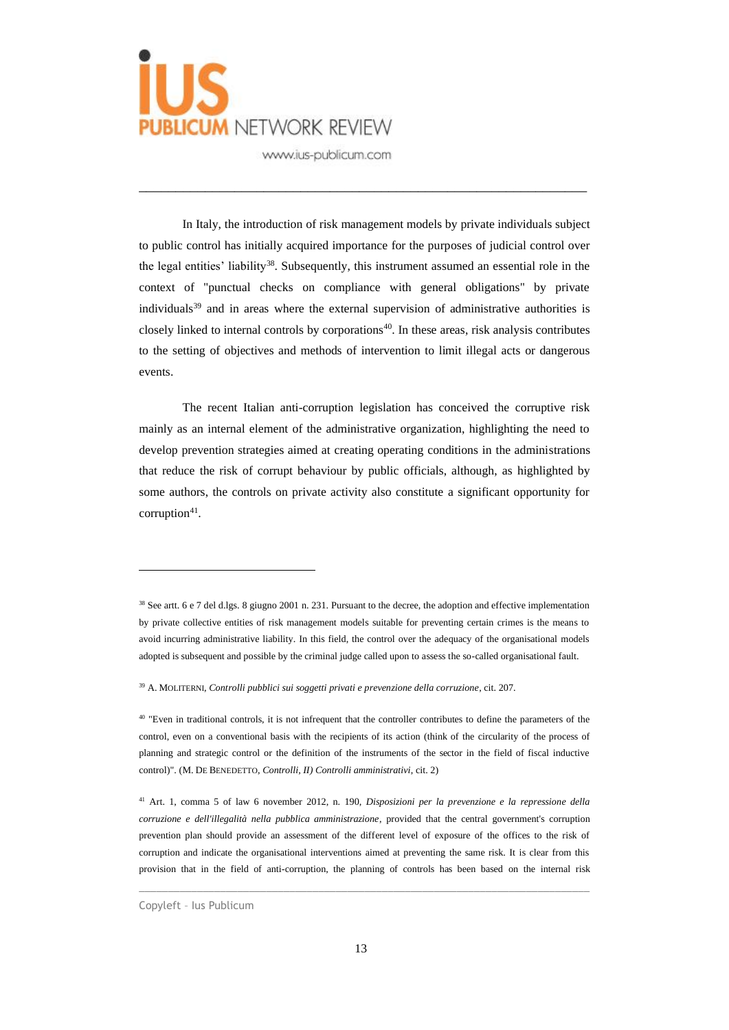

In Italy, the introduction of risk management models by private individuals subject to public control has initially acquired importance for the purposes of judicial control over the legal entities' liability<sup>38</sup>. Subsequently, this instrument assumed an essential role in the context of "punctual checks on compliance with general obligations" by private individuals<sup>39</sup> and in areas where the external supervision of administrative authorities is closely linked to internal controls by corporations<sup>40</sup>. In these areas, risk analysis contributes to the setting of objectives and methods of intervention to limit illegal acts or dangerous events.

\_\_\_\_\_\_\_\_\_\_\_\_\_\_\_\_\_\_\_\_\_\_\_\_\_\_\_\_\_\_\_\_\_\_\_\_\_\_\_\_\_\_\_\_\_\_\_\_\_\_\_\_\_\_\_\_\_\_\_\_\_

The recent Italian anti-corruption legislation has conceived the corruptive risk mainly as an internal element of the administrative organization, highlighting the need to develop prevention strategies aimed at creating operating conditions in the administrations that reduce the risk of corrupt behaviour by public officials, although, as highlighted by some authors, the controls on private activity also constitute a significant opportunity for corruption $41$ .

<sup>39</sup> A. MOLITERNI, *Controlli pubblici sui soggetti privati e prevenzione della corruzione*, cit. 207.

<sup>40</sup> "Even in traditional controls, it is not infrequent that the controller contributes to define the parameters of the control, even on a conventional basis with the recipients of its action (think of the circularity of the process of planning and strategic control or the definition of the instruments of the sector in the field of fiscal inductive control)". (M. DE BENEDETTO, *Controlli, II) Controlli amministrativi*, cit. 2)

<sup>41</sup> Art. 1, comma 5 of law 6 november 2012, n. 190, *Disposizioni per la prevenzione e la repressione della corruzione e dell'illegalità nella pubblica amministrazione*, provided that the central government's corruption prevention plan should provide an assessment of the different level of exposure of the offices to the risk of corruption and indicate the organisational interventions aimed at preventing the same risk. It is clear from this provision that in the field of anti-corruption, the planning of controls has been based on the internal risk

 $\_$  , and the set of the set of the set of the set of the set of the set of the set of the set of the set of the set of the set of the set of the set of the set of the set of the set of the set of the set of the set of th

<sup>38</sup> See artt. 6 e 7 del d.lgs. 8 giugno 2001 n. 231. Pursuant to the decree, the adoption and effective implementation by private collective entities of risk management models suitable for preventing certain crimes is the means to avoid incurring administrative liability. In this field, the control over the adequacy of the organisational models adopted is subsequent and possible by the criminal judge called upon to assess the so-called organisational fault.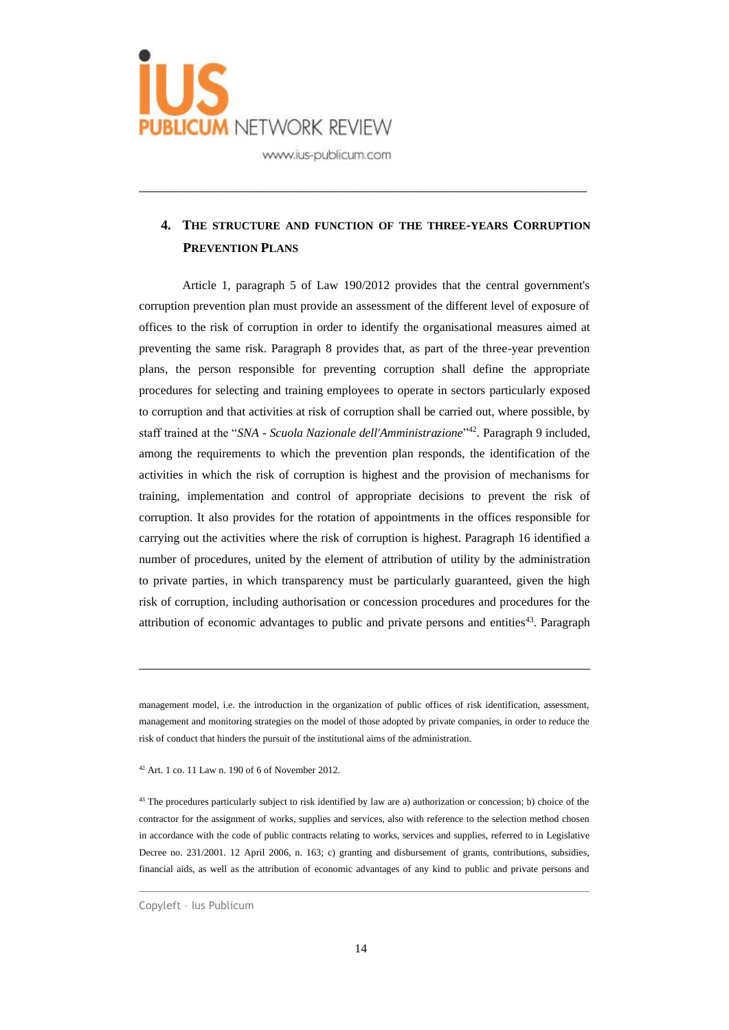

## **4. THE STRUCTURE AND FUNCTION OF THE THREE-YEARS CORRUPTION PREVENTION PLANS**

\_\_\_\_\_\_\_\_\_\_\_\_\_\_\_\_\_\_\_\_\_\_\_\_\_\_\_\_\_\_\_\_\_\_\_\_\_\_\_\_\_\_\_\_\_\_\_\_\_\_\_\_\_\_\_\_\_\_\_\_\_

Article 1, paragraph 5 of Law 190/2012 provides that the central government's corruption prevention plan must provide an assessment of the different level of exposure of offices to the risk of corruption in order to identify the organisational measures aimed at preventing the same risk. Paragraph 8 provides that, as part of the three-year prevention plans, the person responsible for preventing corruption shall define the appropriate procedures for selecting and training employees to operate in sectors particularly exposed to corruption and that activities at risk of corruption shall be carried out, where possible, by staff trained at the "*SNA - Scuola Nazionale dell'Amministrazione*" <sup>42</sup>. Paragraph 9 included, among the requirements to which the prevention plan responds, the identification of the activities in which the risk of corruption is highest and the provision of mechanisms for training, implementation and control of appropriate decisions to prevent the risk of corruption. It also provides for the rotation of appointments in the offices responsible for carrying out the activities where the risk of corruption is highest. Paragraph 16 identified a number of procedures, united by the element of attribution of utility by the administration to private parties, in which transparency must be particularly guaranteed, given the high risk of corruption, including authorisation or concession procedures and procedures for the attribution of economic advantages to public and private persons and entities<sup>43</sup>. Paragraph

management model, i.e. the introduction in the organization of public offices of risk identification, assessment, management and monitoring strategies on the model of those adopted by private companies, in order to reduce the risk of conduct that hinders the pursuit of the institutional aims of the administration.

 $42$  Art. 1 co. 11 Law n. 190 of 6 of November 2012.

<sup>43</sup> The procedures particularly subject to risk identified by law are a) authorization or concession; b) choice of the contractor for the assignment of works, supplies and services, also with reference to the selection method chosen in accordance with the code of public contracts relating to works, services and supplies, referred to in Legislative Decree no. 231/2001. 12 April 2006, n. 163; c) granting and disbursement of grants, contributions, subsidies, financial aids, as well as the attribution of economic advantages of any kind to public and private persons and

 $\_$  , and the set of the set of the set of the set of the set of the set of the set of the set of the set of the set of the set of the set of the set of the set of the set of the set of the set of the set of the set of th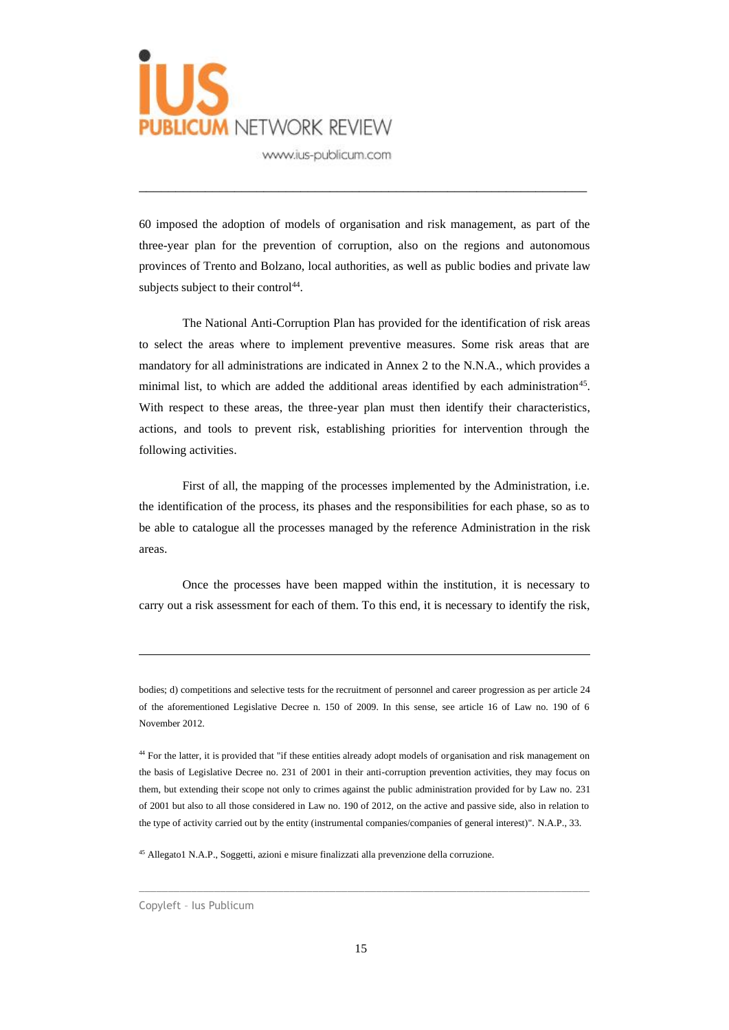

60 imposed the adoption of models of organisation and risk management, as part of the three-year plan for the prevention of corruption, also on the regions and autonomous provinces of Trento and Bolzano, local authorities, as well as public bodies and private law subjects subject to their control $44$ .

\_\_\_\_\_\_\_\_\_\_\_\_\_\_\_\_\_\_\_\_\_\_\_\_\_\_\_\_\_\_\_\_\_\_\_\_\_\_\_\_\_\_\_\_\_\_\_\_\_\_\_\_\_\_\_\_\_\_\_\_\_

The National Anti-Corruption Plan has provided for the identification of risk areas to select the areas where to implement preventive measures. Some risk areas that are mandatory for all administrations are indicated in Annex 2 to the N.N.A., which provides a minimal list, to which are added the additional areas identified by each administration<sup>45</sup>. With respect to these areas, the three-year plan must then identify their characteristics, actions, and tools to prevent risk, establishing priorities for intervention through the following activities.

First of all, the mapping of the processes implemented by the Administration, i.e. the identification of the process, its phases and the responsibilities for each phase, so as to be able to catalogue all the processes managed by the reference Administration in the risk areas.

Once the processes have been mapped within the institution, it is necessary to carry out a risk assessment for each of them. To this end, it is necessary to identify the risk,

<sup>45</sup> Allegato1 N.A.P., Soggetti, azioni e misure finalizzati alla prevenzione della corruzione.

bodies; d) competitions and selective tests for the recruitment of personnel and career progression as per article 24 of the aforementioned Legislative Decree n. 150 of 2009. In this sense, see article 16 of Law no. 190 of 6 November 2012.

<sup>&</sup>lt;sup>44</sup> For the latter, it is provided that "if these entities already adopt models of organisation and risk management on the basis of Legislative Decree no. 231 of 2001 in their anti-corruption prevention activities, they may focus on them, but extending their scope not only to crimes against the public administration provided for by Law no. 231 of 2001 but also to all those considered in Law no. 190 of 2012, on the active and passive side, also in relation to the type of activity carried out by the entity (instrumental companies/companies of general interest)". N.A.P., 33.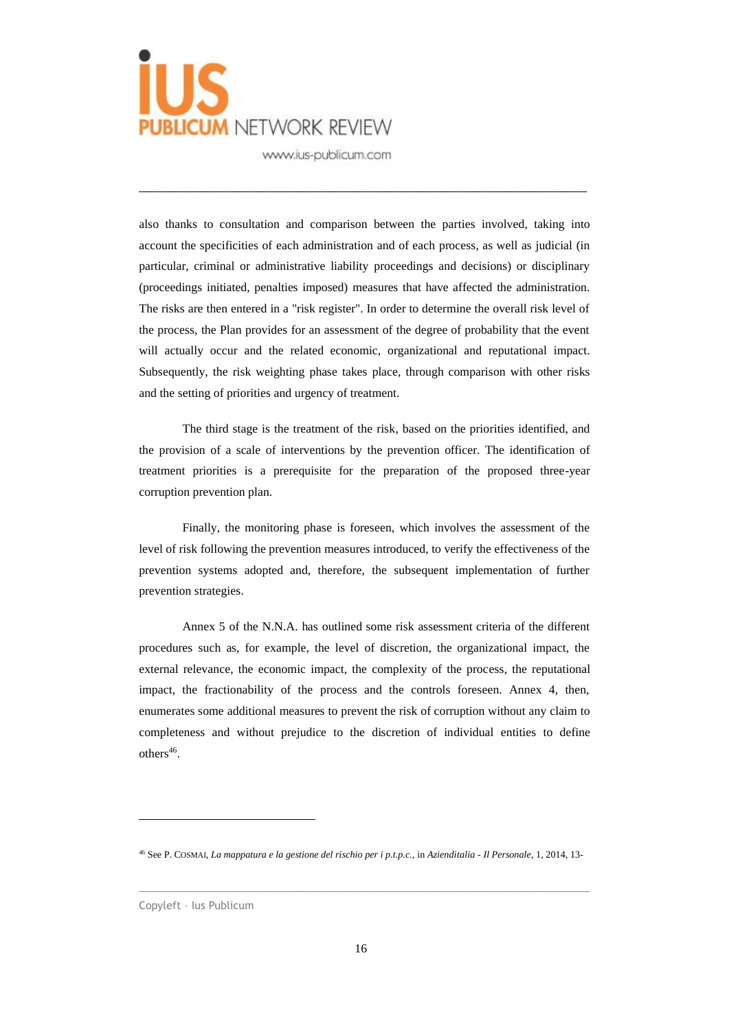

also thanks to consultation and comparison between the parties involved, taking into account the specificities of each administration and of each process, as well as judicial (in particular, criminal or administrative liability proceedings and decisions) or disciplinary (proceedings initiated, penalties imposed) measures that have affected the administration. The risks are then entered in a "risk register". In order to determine the overall risk level of the process, the Plan provides for an assessment of the degree of probability that the event will actually occur and the related economic, organizational and reputational impact. Subsequently, the risk weighting phase takes place, through comparison with other risks and the setting of priorities and urgency of treatment.

\_\_\_\_\_\_\_\_\_\_\_\_\_\_\_\_\_\_\_\_\_\_\_\_\_\_\_\_\_\_\_\_\_\_\_\_\_\_\_\_\_\_\_\_\_\_\_\_\_\_\_\_\_\_\_\_\_\_\_\_\_

The third stage is the treatment of the risk, based on the priorities identified, and the provision of a scale of interventions by the prevention officer. The identification of treatment priorities is a prerequisite for the preparation of the proposed three-year corruption prevention plan.

Finally, the monitoring phase is foreseen, which involves the assessment of the level of risk following the prevention measures introduced, to verify the effectiveness of the prevention systems adopted and, therefore, the subsequent implementation of further prevention strategies.

Annex 5 of the N.N.A. has outlined some risk assessment criteria of the different procedures such as, for example, the level of discretion, the organizational impact, the external relevance, the economic impact, the complexity of the process, the reputational impact, the fractionability of the process and the controls foreseen. Annex 4, then, enumerates some additional measures to prevent the risk of corruption without any claim to completeness and without prejudice to the discretion of individual entities to define  $others<sup>46</sup>$ .

<sup>46</sup> See P. COSMAI, *La mappatura e la gestione del rischio per i p.t.p.c.,* in *Azienditalia - Il Personale*, 1, 2014, 13-

Copyleft – Ius Publicum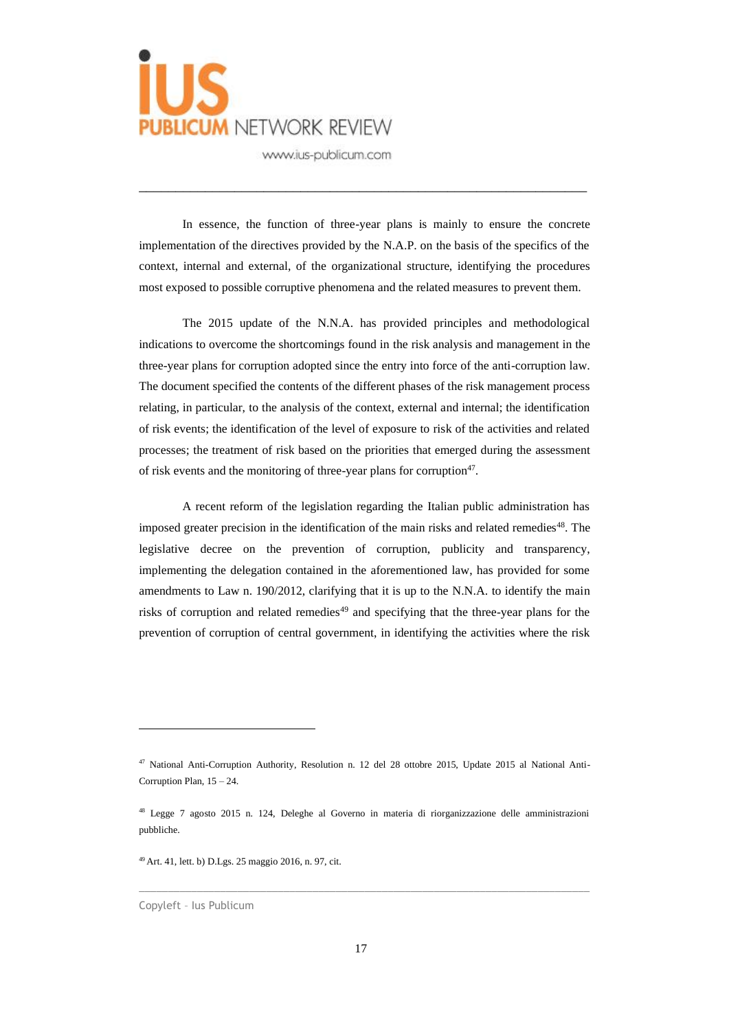

In essence, the function of three-year plans is mainly to ensure the concrete implementation of the directives provided by the N.A.P. on the basis of the specifics of the context, internal and external, of the organizational structure, identifying the procedures most exposed to possible corruptive phenomena and the related measures to prevent them.

\_\_\_\_\_\_\_\_\_\_\_\_\_\_\_\_\_\_\_\_\_\_\_\_\_\_\_\_\_\_\_\_\_\_\_\_\_\_\_\_\_\_\_\_\_\_\_\_\_\_\_\_\_\_\_\_\_\_\_\_\_

The 2015 update of the N.N.A. has provided principles and methodological indications to overcome the shortcomings found in the risk analysis and management in the three-year plans for corruption adopted since the entry into force of the anti-corruption law. The document specified the contents of the different phases of the risk management process relating, in particular, to the analysis of the context, external and internal; the identification of risk events; the identification of the level of exposure to risk of the activities and related processes; the treatment of risk based on the priorities that emerged during the assessment of risk events and the monitoring of three-year plans for corruption<sup>47</sup>.

A recent reform of the legislation regarding the Italian public administration has imposed greater precision in the identification of the main risks and related remedies<sup>48</sup>. The legislative decree on the prevention of corruption, publicity and transparency, implementing the delegation contained in the aforementioned law, has provided for some amendments to Law n. 190/2012, clarifying that it is up to the N.N.A. to identify the main risks of corruption and related remedies<sup>49</sup> and specifying that the three-year plans for the prevention of corruption of central government, in identifying the activities where the risk

 $\_$  , and the set of the set of the set of the set of the set of the set of the set of the set of the set of the set of the set of the set of the set of the set of the set of the set of the set of the set of the set of th

<sup>47</sup> National Anti-Corruption Authority, Resolution n. 12 del 28 ottobre 2015, Update 2015 al National Anti-Corruption Plan, 15 – 24.

<sup>48</sup> Legge 7 agosto 2015 n. 124, Deleghe al Governo in materia di riorganizzazione delle amministrazioni pubbliche.

<sup>49</sup> Art. 41, lett. b) D.Lgs. 25 maggio 2016, n. 97, cit.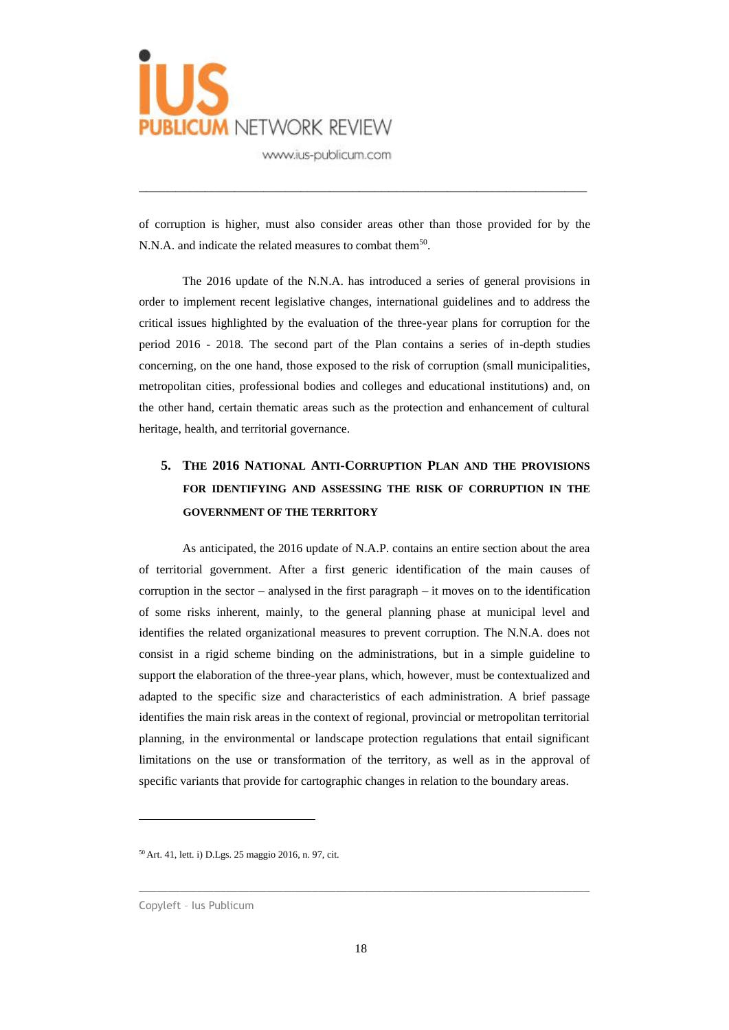

of corruption is higher, must also consider areas other than those provided for by the N.N.A. and indicate the related measures to combat them<sup>50</sup>.

\_\_\_\_\_\_\_\_\_\_\_\_\_\_\_\_\_\_\_\_\_\_\_\_\_\_\_\_\_\_\_\_\_\_\_\_\_\_\_\_\_\_\_\_\_\_\_\_\_\_\_\_\_\_\_\_\_\_\_\_\_

The 2016 update of the N.N.A. has introduced a series of general provisions in order to implement recent legislative changes, international guidelines and to address the critical issues highlighted by the evaluation of the three-year plans for corruption for the period 2016 - 2018. The second part of the Plan contains a series of in-depth studies concerning, on the one hand, those exposed to the risk of corruption (small municipalities, metropolitan cities, professional bodies and colleges and educational institutions) and, on the other hand, certain thematic areas such as the protection and enhancement of cultural heritage, health, and territorial governance.

# **5. THE 2016 NATIONAL ANTI-CORRUPTION PLAN AND THE PROVISIONS FOR IDENTIFYING AND ASSESSING THE RISK OF CORRUPTION IN THE GOVERNMENT OF THE TERRITORY**

As anticipated, the 2016 update of N.A.P. contains an entire section about the area of territorial government. After a first generic identification of the main causes of corruption in the sector – analysed in the first paragraph – it moves on to the identification of some risks inherent, mainly, to the general planning phase at municipal level and identifies the related organizational measures to prevent corruption. The N.N.A. does not consist in a rigid scheme binding on the administrations, but in a simple guideline to support the elaboration of the three-year plans, which, however, must be contextualized and adapted to the specific size and characteristics of each administration. A brief passage identifies the main risk areas in the context of regional, provincial or metropolitan territorial planning, in the environmental or landscape protection regulations that entail significant limitations on the use or transformation of the territory, as well as in the approval of specific variants that provide for cartographic changes in relation to the boundary areas.

<sup>50</sup> Art. 41, lett. i) D.Lgs. 25 maggio 2016, n. 97, cit.

Copyleft – Ius Publicum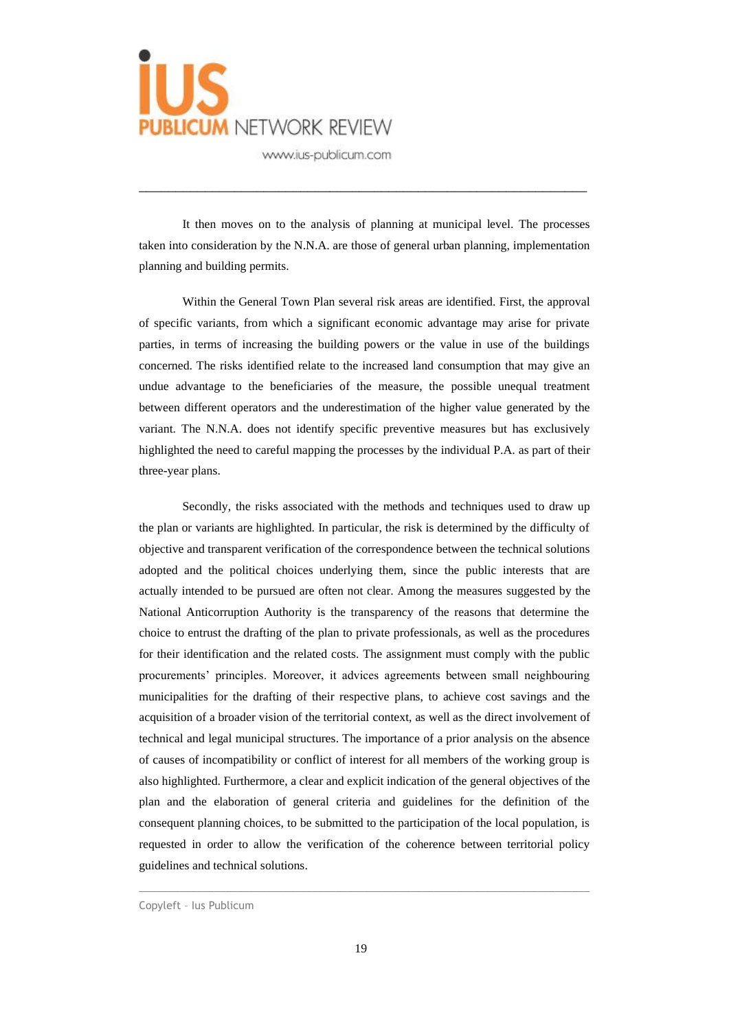

It then moves on to the analysis of planning at municipal level. The processes taken into consideration by the N.N.A. are those of general urban planning, implementation planning and building permits.

\_\_\_\_\_\_\_\_\_\_\_\_\_\_\_\_\_\_\_\_\_\_\_\_\_\_\_\_\_\_\_\_\_\_\_\_\_\_\_\_\_\_\_\_\_\_\_\_\_\_\_\_\_\_\_\_\_\_\_\_\_

Within the General Town Plan several risk areas are identified. First, the approval of specific variants, from which a significant economic advantage may arise for private parties, in terms of increasing the building powers or the value in use of the buildings concerned. The risks identified relate to the increased land consumption that may give an undue advantage to the beneficiaries of the measure, the possible unequal treatment between different operators and the underestimation of the higher value generated by the variant. The N.N.A. does not identify specific preventive measures but has exclusively highlighted the need to careful mapping the processes by the individual P.A. as part of their three-year plans.

Secondly, the risks associated with the methods and techniques used to draw up the plan or variants are highlighted. In particular, the risk is determined by the difficulty of objective and transparent verification of the correspondence between the technical solutions adopted and the political choices underlying them, since the public interests that are actually intended to be pursued are often not clear. Among the measures suggested by the National Anticorruption Authority is the transparency of the reasons that determine the choice to entrust the drafting of the plan to private professionals, as well as the procedures for their identification and the related costs. The assignment must comply with the public procurements' principles. Moreover, it advices agreements between small neighbouring municipalities for the drafting of their respective plans, to achieve cost savings and the acquisition of a broader vision of the territorial context, as well as the direct involvement of technical and legal municipal structures. The importance of a prior analysis on the absence of causes of incompatibility or conflict of interest for all members of the working group is also highlighted. Furthermore, a clear and explicit indication of the general objectives of the plan and the elaboration of general criteria and guidelines for the definition of the consequent planning choices, to be submitted to the participation of the local population, is requested in order to allow the verification of the coherence between territorial policy guidelines and technical solutions.

Copyleft – Ius Publicum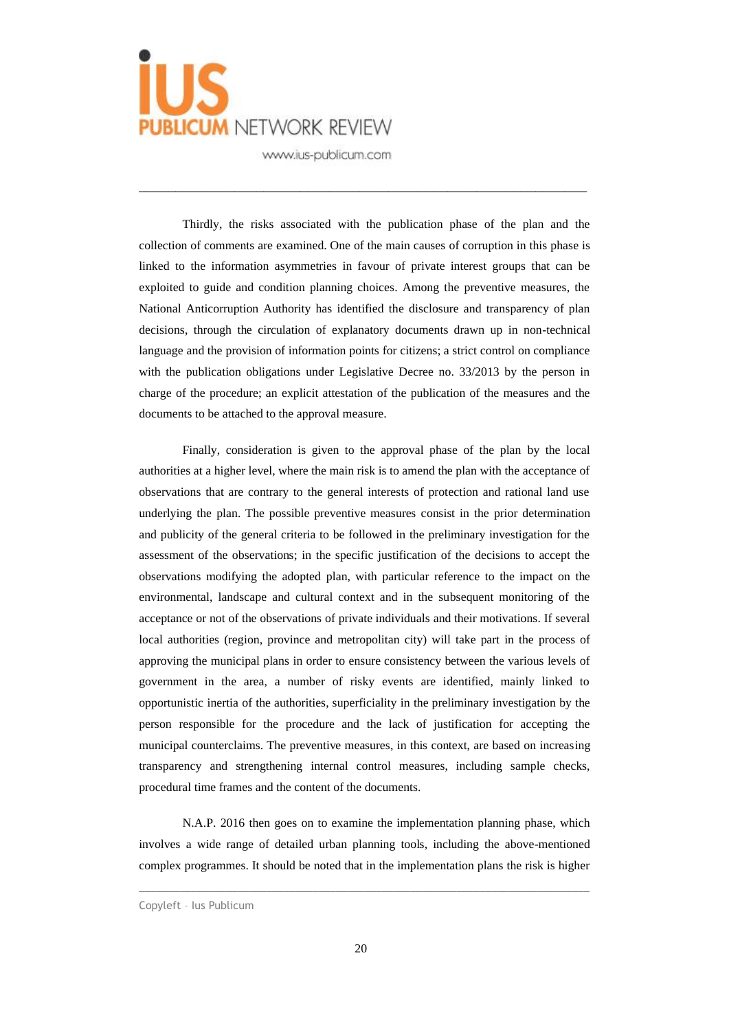

Thirdly, the risks associated with the publication phase of the plan and the collection of comments are examined. One of the main causes of corruption in this phase is linked to the information asymmetries in favour of private interest groups that can be exploited to guide and condition planning choices. Among the preventive measures, the National Anticorruption Authority has identified the disclosure and transparency of plan decisions, through the circulation of explanatory documents drawn up in non-technical language and the provision of information points for citizens; a strict control on compliance with the publication obligations under Legislative Decree no. 33/2013 by the person in charge of the procedure; an explicit attestation of the publication of the measures and the documents to be attached to the approval measure.

\_\_\_\_\_\_\_\_\_\_\_\_\_\_\_\_\_\_\_\_\_\_\_\_\_\_\_\_\_\_\_\_\_\_\_\_\_\_\_\_\_\_\_\_\_\_\_\_\_\_\_\_\_\_\_\_\_\_\_\_\_

Finally, consideration is given to the approval phase of the plan by the local authorities at a higher level, where the main risk is to amend the plan with the acceptance of observations that are contrary to the general interests of protection and rational land use underlying the plan. The possible preventive measures consist in the prior determination and publicity of the general criteria to be followed in the preliminary investigation for the assessment of the observations; in the specific justification of the decisions to accept the observations modifying the adopted plan, with particular reference to the impact on the environmental, landscape and cultural context and in the subsequent monitoring of the acceptance or not of the observations of private individuals and their motivations. If several local authorities (region, province and metropolitan city) will take part in the process of approving the municipal plans in order to ensure consistency between the various levels of government in the area, a number of risky events are identified, mainly linked to opportunistic inertia of the authorities, superficiality in the preliminary investigation by the person responsible for the procedure and the lack of justification for accepting the municipal counterclaims. The preventive measures, in this context, are based on increasing transparency and strengthening internal control measures, including sample checks, procedural time frames and the content of the documents.

N.A.P. 2016 then goes on to examine the implementation planning phase, which involves a wide range of detailed urban planning tools, including the above-mentioned complex programmes. It should be noted that in the implementation plans the risk is higher

Copyleft – Ius Publicum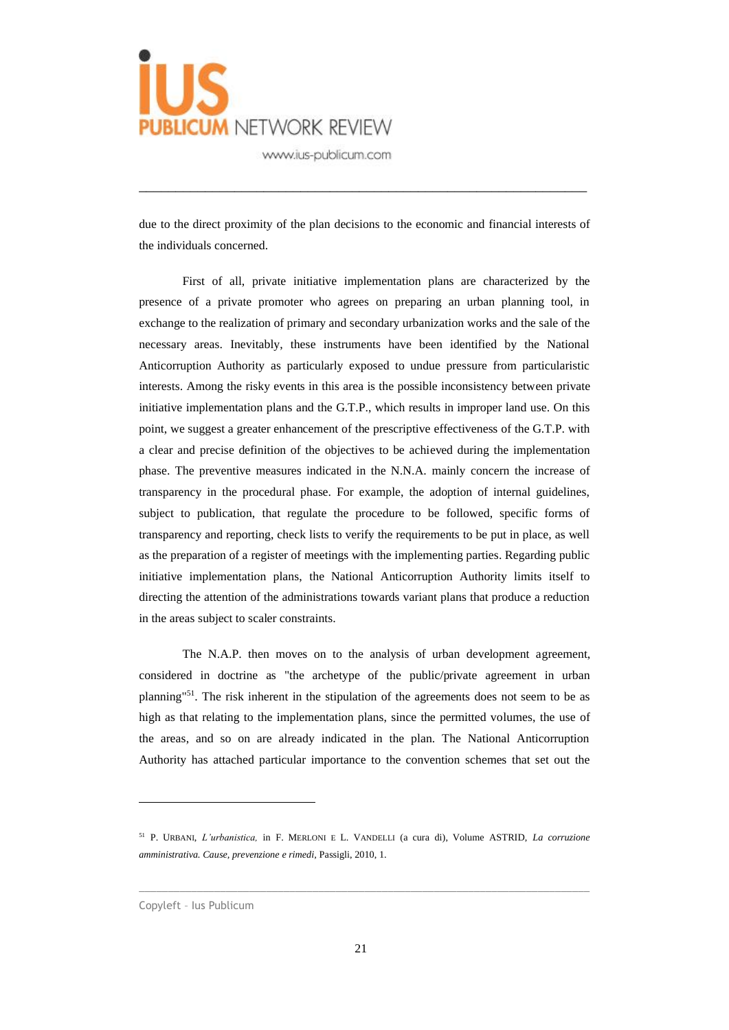

due to the direct proximity of the plan decisions to the economic and financial interests of the individuals concerned.

\_\_\_\_\_\_\_\_\_\_\_\_\_\_\_\_\_\_\_\_\_\_\_\_\_\_\_\_\_\_\_\_\_\_\_\_\_\_\_\_\_\_\_\_\_\_\_\_\_\_\_\_\_\_\_\_\_\_\_\_\_

First of all, private initiative implementation plans are characterized by the presence of a private promoter who agrees on preparing an urban planning tool, in exchange to the realization of primary and secondary urbanization works and the sale of the necessary areas. Inevitably, these instruments have been identified by the National Anticorruption Authority as particularly exposed to undue pressure from particularistic interests. Among the risky events in this area is the possible inconsistency between private initiative implementation plans and the G.T.P., which results in improper land use. On this point, we suggest a greater enhancement of the prescriptive effectiveness of the G.T.P. with a clear and precise definition of the objectives to be achieved during the implementation phase. The preventive measures indicated in the N.N.A. mainly concern the increase of transparency in the procedural phase. For example, the adoption of internal guidelines, subject to publication, that regulate the procedure to be followed, specific forms of transparency and reporting, check lists to verify the requirements to be put in place, as well as the preparation of a register of meetings with the implementing parties. Regarding public initiative implementation plans, the National Anticorruption Authority limits itself to directing the attention of the administrations towards variant plans that produce a reduction in the areas subject to scaler constraints.

The N.A.P. then moves on to the analysis of urban development agreement, considered in doctrine as "the archetype of the public/private agreement in urban planning"<sup>51</sup>. The risk inherent in the stipulation of the agreements does not seem to be as high as that relating to the implementation plans, since the permitted volumes, the use of the areas, and so on are already indicated in the plan. The National Anticorruption Authority has attached particular importance to the convention schemes that set out the

<sup>51</sup> P. URBANI, *L'urbanistica,* in F. MERLONI E L. VANDELLI (a cura di), Volume ASTRID, *La corruzione amministrativa. Cause, prevenzione e rimedi,* Passigli, 2010, 1.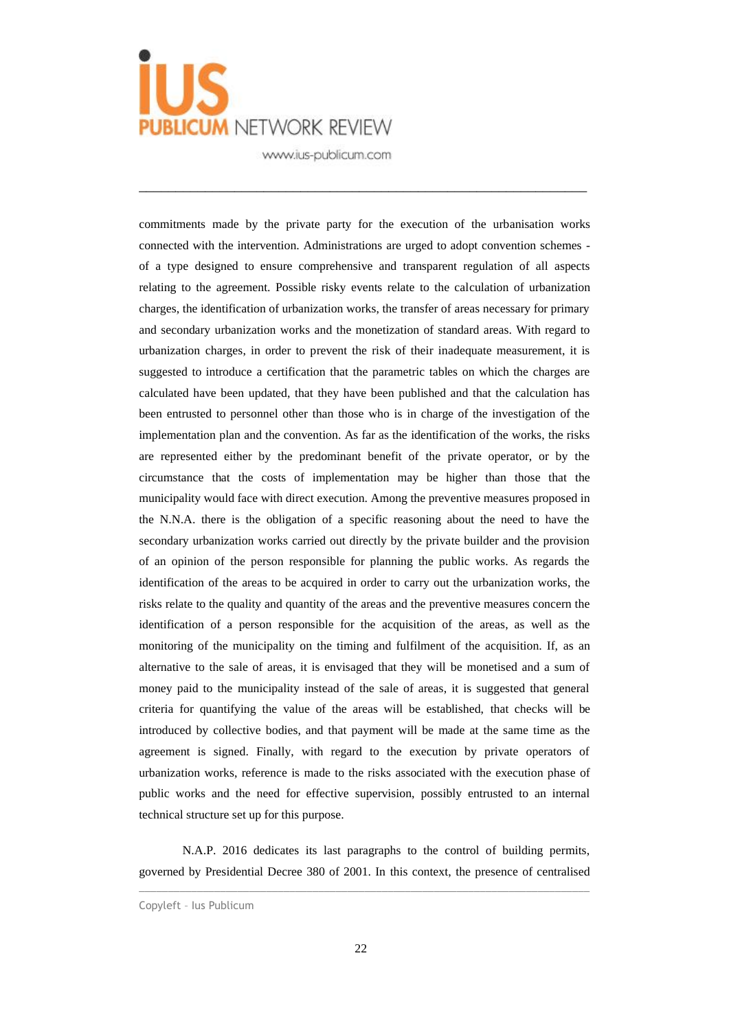

\_\_\_\_\_\_\_\_\_\_\_\_\_\_\_\_\_\_\_\_\_\_\_\_\_\_\_\_\_\_\_\_\_\_\_\_\_\_\_\_\_\_\_\_\_\_\_\_\_\_\_\_\_\_\_\_\_\_\_\_\_

commitments made by the private party for the execution of the urbanisation works connected with the intervention. Administrations are urged to adopt convention schemes of a type designed to ensure comprehensive and transparent regulation of all aspects relating to the agreement. Possible risky events relate to the calculation of urbanization charges, the identification of urbanization works, the transfer of areas necessary for primary and secondary urbanization works and the monetization of standard areas. With regard to urbanization charges, in order to prevent the risk of their inadequate measurement, it is suggested to introduce a certification that the parametric tables on which the charges are calculated have been updated, that they have been published and that the calculation has been entrusted to personnel other than those who is in charge of the investigation of the implementation plan and the convention. As far as the identification of the works, the risks are represented either by the predominant benefit of the private operator, or by the circumstance that the costs of implementation may be higher than those that the municipality would face with direct execution. Among the preventive measures proposed in the N.N.A. there is the obligation of a specific reasoning about the need to have the secondary urbanization works carried out directly by the private builder and the provision of an opinion of the person responsible for planning the public works. As regards the identification of the areas to be acquired in order to carry out the urbanization works, the risks relate to the quality and quantity of the areas and the preventive measures concern the identification of a person responsible for the acquisition of the areas, as well as the monitoring of the municipality on the timing and fulfilment of the acquisition. If, as an alternative to the sale of areas, it is envisaged that they will be monetised and a sum of money paid to the municipality instead of the sale of areas, it is suggested that general criteria for quantifying the value of the areas will be established, that checks will be introduced by collective bodies, and that payment will be made at the same time as the agreement is signed. Finally, with regard to the execution by private operators of urbanization works, reference is made to the risks associated with the execution phase of public works and the need for effective supervision, possibly entrusted to an internal technical structure set up for this purpose.

N.A.P. 2016 dedicates its last paragraphs to the control of building permits, governed by Presidential Decree 380 of 2001. In this context, the presence of centralised

Copyleft – Ius Publicum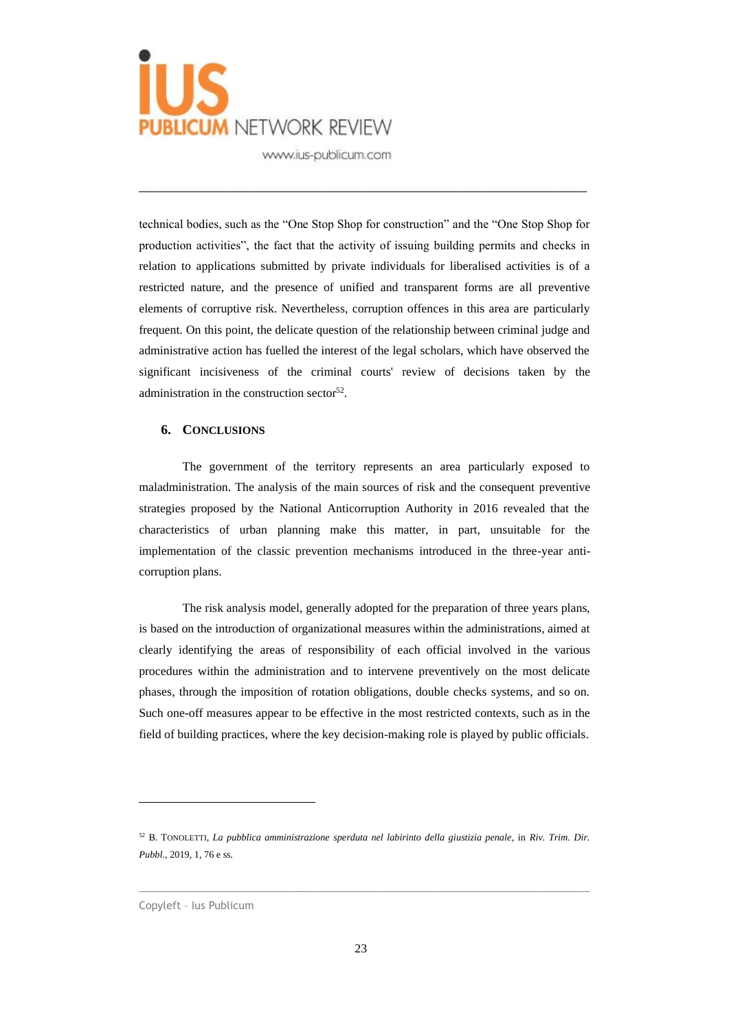

technical bodies, such as the "One Stop Shop for construction" and the "One Stop Shop for production activities", the fact that the activity of issuing building permits and checks in relation to applications submitted by private individuals for liberalised activities is of a restricted nature, and the presence of unified and transparent forms are all preventive elements of corruptive risk. Nevertheless, corruption offences in this area are particularly frequent. On this point, the delicate question of the relationship between criminal judge and administrative action has fuelled the interest of the legal scholars, which have observed the significant incisiveness of the criminal courts' review of decisions taken by the administration in the construction sector<sup>52</sup>.

\_\_\_\_\_\_\_\_\_\_\_\_\_\_\_\_\_\_\_\_\_\_\_\_\_\_\_\_\_\_\_\_\_\_\_\_\_\_\_\_\_\_\_\_\_\_\_\_\_\_\_\_\_\_\_\_\_\_\_\_\_

#### **6. CONCLUSIONS**

The government of the territory represents an area particularly exposed to maladministration. The analysis of the main sources of risk and the consequent preventive strategies proposed by the National Anticorruption Authority in 2016 revealed that the characteristics of urban planning make this matter, in part, unsuitable for the implementation of the classic prevention mechanisms introduced in the three-year anticorruption plans.

The risk analysis model, generally adopted for the preparation of three years plans, is based on the introduction of organizational measures within the administrations, aimed at clearly identifying the areas of responsibility of each official involved in the various procedures within the administration and to intervene preventively on the most delicate phases, through the imposition of rotation obligations, double checks systems, and so on. Such one-off measures appear to be effective in the most restricted contexts, such as in the field of building practices, where the key decision-making role is played by public officials.

 $\_$  , and the set of the set of the set of the set of the set of the set of the set of the set of the set of the set of the set of the set of the set of the set of the set of the set of the set of the set of the set of th

<sup>52</sup> B. TONOLETTI, *La pubblica amministrazione sperduta nel labirinto della giustizia penale*, in *Riv. Trim. Dir. Pubbl*., 2019, 1, 76 e ss.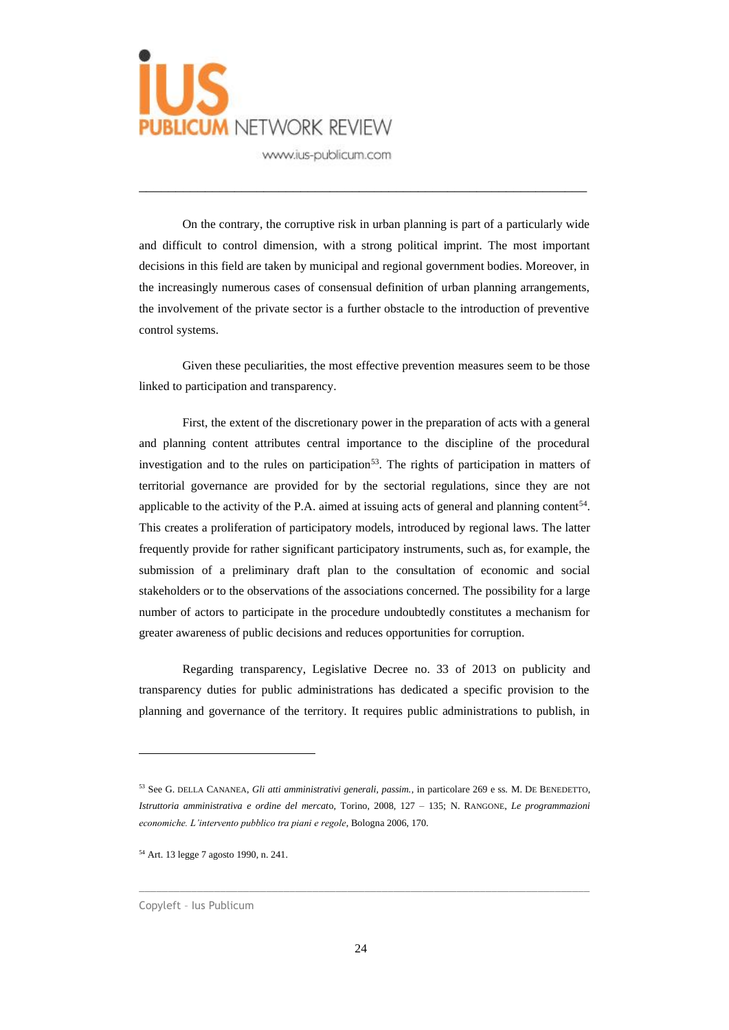

On the contrary, the corruptive risk in urban planning is part of a particularly wide and difficult to control dimension, with a strong political imprint. The most important decisions in this field are taken by municipal and regional government bodies. Moreover, in the increasingly numerous cases of consensual definition of urban planning arrangements, the involvement of the private sector is a further obstacle to the introduction of preventive control systems.

\_\_\_\_\_\_\_\_\_\_\_\_\_\_\_\_\_\_\_\_\_\_\_\_\_\_\_\_\_\_\_\_\_\_\_\_\_\_\_\_\_\_\_\_\_\_\_\_\_\_\_\_\_\_\_\_\_\_\_\_\_

Given these peculiarities, the most effective prevention measures seem to be those linked to participation and transparency.

First, the extent of the discretionary power in the preparation of acts with a general and planning content attributes central importance to the discipline of the procedural investigation and to the rules on participation<sup>53</sup>. The rights of participation in matters of territorial governance are provided for by the sectorial regulations, since they are not applicable to the activity of the P.A. aimed at issuing acts of general and planning content<sup>54</sup>. This creates a proliferation of participatory models, introduced by regional laws. The latter frequently provide for rather significant participatory instruments, such as, for example, the submission of a preliminary draft plan to the consultation of economic and social stakeholders or to the observations of the associations concerned. The possibility for a large number of actors to participate in the procedure undoubtedly constitutes a mechanism for greater awareness of public decisions and reduces opportunities for corruption.

Regarding transparency, Legislative Decree no. 33 of 2013 on publicity and transparency duties for public administrations has dedicated a specific provision to the planning and governance of the territory. It requires public administrations to publish, in

<sup>53</sup> See G. DELLA CANANEA, *Gli atti amministrativi generali, passim.*, in particolare 269 e ss. M. DE BENEDETTO, *Istruttoria amministrativa e ordine del mercat*o, Torino, 2008, 127 – 135; N. RANGONE, *Le programmazioni economiche. L'intervento pubblico tra piani e regole*, Bologna 2006, 170.

<sup>54</sup> Art. 13 legge 7 agosto 1990, n. 241.